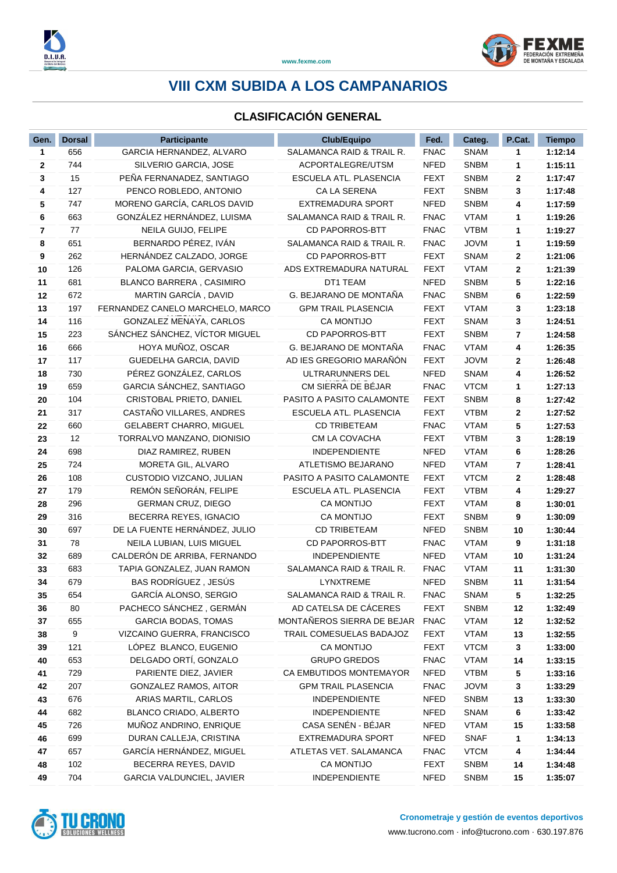

### **CLASIFICACIÓN GENERAL**

| Gen.         | <b>Dorsal</b> | <b>Participante</b>              | <b>Club/Equipo</b>         | Fed.        | Categ.      | P.Cat. | <b>Tiempo</b> |
|--------------|---------------|----------------------------------|----------------------------|-------------|-------------|--------|---------------|
| 1            | 656           | GARCIA HERNANDEZ, ALVARO         | SALAMANCA RAID & TRAIL R.  | <b>FNAC</b> | <b>SNAM</b> | 1      | 1:12:14       |
| $\mathbf{2}$ | 744           | SILVERIO GARCIA, JOSE            | ACPORTALEGRE/UTSM          | <b>NFED</b> | <b>SNBM</b> | 1      | 1:15:11       |
| 3            | 15            | PEÑA FERNANADEZ, SANTIAGO        | ESCUELA ATL. PLASENCIA     | <b>FEXT</b> | <b>SNBM</b> | 2      | 1:17:47       |
| 4            | 127           | PENCO ROBLEDO, ANTONIO           | CA LA SERENA               | <b>FEXT</b> | <b>SNBM</b> | 3      | 1:17:48       |
| 5            | 747           | MORENO GARCÍA, CARLOS DAVID      | <b>EXTREMADURA SPORT</b>   | <b>NFED</b> | <b>SNBM</b> | 4      | 1:17:59       |
| 6            | 663           | GONZÁLEZ HERNÁNDEZ, LUISMA       | SALAMANCA RAID & TRAIL R.  | <b>FNAC</b> | <b>VTAM</b> | 1      | 1:19:26       |
| 7            | 77            | NEILA GUIJO, FELIPE              | <b>CD PAPORROS-BTT</b>     | <b>FNAC</b> | <b>VTBM</b> | 1      | 1:19:27       |
| 8            | 651           | BERNARDO PÉREZ, IVÁN             | SALAMANCA RAID & TRAIL R.  | <b>FNAC</b> | <b>JOVM</b> | 1      | 1:19:59       |
| 9            | 262           | HERNÁNDEZ CALZADO, JORGE         | <b>CD PAPORROS-BTT</b>     | <b>FEXT</b> | <b>SNAM</b> | 2      | 1:21:06       |
| 10           | 126           | PALOMA GARCIA, GERVASIO          | ADS EXTREMADURA NATURAL    | <b>FEXT</b> | <b>VTAM</b> | 2      | 1:21:39       |
| 11           | 681           | BLANCO BARRERA, CASIMIRO         | DT1 TEAM                   | <b>NFED</b> | <b>SNBM</b> | 5      | 1:22:16       |
| 12           | 672           | MARTIN GARCÍA, DAVID             | G. BEJARANO DE MONTAÑA     | <b>FNAC</b> | <b>SNBM</b> | 6      | 1:22:59       |
| 13           | 197           | FERNANDEZ CANELO MARCHELO, MARCO | <b>GPM TRAIL PLASENCIA</b> | <b>FEXT</b> | <b>VTAM</b> | 3      | 1:23:18       |
| 14           | 116           | GONZALEZ MENAYA, CARLOS          | <b>CA MONTIJO</b>          | <b>FEXT</b> | <b>SNAM</b> | 3      | 1:24:51       |
| 15           | 223           | SÁNCHEZ SÁNCHEZ, VÍCTOR MIGUEL   | <b>CD PAPORROS-BTT</b>     | <b>FEXT</b> | <b>SNBM</b> | 7      | 1:24:58       |
| 16           | 666           | HOYA MUÑOZ, OSCAR                | G. BEJARANO DE MONTAÑA     | <b>FNAC</b> | <b>VTAM</b> | 4      | 1:26:35       |
| 17           | 117           | GUEDELHA GARCIA, DAVID           | AD IES GREGORIO MARAÑÓN    | <b>FEXT</b> | <b>JOVM</b> | 2      | 1:26:48       |
| 18           | 730           | PÉREZ GONZÁLEZ, CARLOS           | ULTRARUNNERS DEL           | <b>NFED</b> | <b>SNAM</b> | 4      | 1:26:52       |
| 19           | 659           | GARCIA SÁNCHEZ, SANTIAGO         | CM SIERRA DE BÉJAR         | <b>FNAC</b> | <b>VTCM</b> | 1      | 1:27:13       |
| 20           | 104           | CRISTOBAL PRIETO, DANIEL         | PASITO A PASITO CALAMONTE  | <b>FEXT</b> | <b>SNBM</b> | 8      | 1:27:42       |
| 21           | 317           | CASTAÑO VILLARES, ANDRES         | ESCUELA ATL. PLASENCIA     | <b>FEXT</b> | <b>VTBM</b> | 2      | 1:27:52       |
| 22           | 660           | <b>GELABERT CHARRO, MIGUEL</b>   | <b>CD TRIBETEAM</b>        | <b>FNAC</b> | <b>VTAM</b> | 5      | 1:27:53       |
| 23           | 12            | TORRALVO MANZANO, DIONISIO       | CM LA COVACHA              | <b>FEXT</b> | <b>VTBM</b> | 3      | 1:28:19       |
| 24           | 698           | DIAZ RAMIREZ, RUBEN              | <b>INDEPENDIENTE</b>       | <b>NFED</b> | <b>VTAM</b> | 6      | 1:28:26       |
| 25           | 724           | MORETA GIL, ALVARO               | ATLETISMO BEJARANO         | <b>NFED</b> | <b>VTAM</b> | 7      | 1:28:41       |
| 26           | 108           | CUSTODIO VIZCANO, JULIAN         | PASITO A PASITO CALAMONTE  | <b>FEXT</b> | <b>VTCM</b> | 2      | 1:28:48       |
| 27           | 179           | REMÓN SEÑORÁN, FELIPE            | ESCUELA ATL. PLASENCIA     | <b>FEXT</b> | <b>VTBM</b> | 4      | 1:29:27       |
| 28           | 296           | <b>GERMAN CRUZ, DIEGO</b>        | <b>CA MONTIJO</b>          | <b>FEXT</b> | <b>VTAM</b> | 8      | 1:30:01       |
| 29           | 316           | BECERRA REYES, IGNACIO           | CA MONTIJO                 | <b>FEXT</b> | <b>SNBM</b> | 9      | 1:30:09       |
| 30           | 697           | DE LA FUENTE HERNÁNDEZ, JULIO    | <b>CD TRIBETEAM</b>        | <b>NFED</b> | <b>SNBM</b> | 10     | 1:30:44       |
| 31           | 78            | NEILA LUBIAN, LUIS MIGUEL        | CD PAPORROS-BTT            | <b>FNAC</b> | <b>VTAM</b> | 9      | 1:31:18       |
| 32           | 689           | CALDERÓN DE ARRIBA, FERNANDO     | <b>INDEPENDIENTE</b>       | <b>NFED</b> | <b>VTAM</b> | 10     | 1:31:24       |
| 33           | 683           | TAPIA GONZALEZ, JUAN RAMON       | SALAMANCA RAID & TRAIL R.  | <b>FNAC</b> | <b>VTAM</b> | 11     | 1:31:30       |
| 34           | 679           | BAS RODRÍGUEZ, JESÚS             | <b>LYNXTREME</b>           | <b>NFED</b> | <b>SNBM</b> | 11     | 1:31:54       |
| 35           | 654           | GARCÍA ALONSO, SERGIO            | SALAMANCA RAID & TRAIL R   | <b>FNAC</b> | SNAM        | 5      | 1:32:25       |
| 36           | 80            | PACHECO SÁNCHEZ, GERMÁN          | AD CATELSA DE CÁCERES      | <b>FEXT</b> | <b>SNBM</b> | 12     | 1:32:49       |
| 37           | 655           | <b>GARCIA BODAS, TOMAS</b>       | MONTAÑEROS SIERRA DE BEJAR | <b>FNAC</b> | <b>VTAM</b> | 12     | 1:32:52       |
| 38           | 9             | VIZCAINO GUERRA, FRANCISCO       | TRAIL COMESUELAS BADAJOZ   | <b>FEXT</b> | <b>VTAM</b> | 13     | 1:32:55       |
| 39           | 121           | LÓPEZ BLANCO, EUGENIO            | CA MONTIJO                 | <b>FEXT</b> | <b>VTCM</b> | 3      | 1:33:00       |
| 40           | 653           | DELGADO ORTÍ, GONZALO            | <b>GRUPO GREDOS</b>        | <b>FNAC</b> | <b>VTAM</b> | 14     | 1:33:15       |
| 41           | 729           | PARIENTE DIEZ, JAVIER            | CA EMBUTIDOS MONTEMAYOR    | <b>NFED</b> | <b>VTBM</b> | 5      | 1:33:16       |
| 42           | 207           | GONZALEZ RAMOS, AITOR            | <b>GPM TRAIL PLASENCIA</b> | <b>FNAC</b> | <b>JOVM</b> | 3      | 1:33:29       |
| 43           | 676           | ARIAS MARTIL, CARLOS             | INDEPENDIENTE              | NFED        | <b>SNBM</b> | 13     | 1:33:30       |
| 44           | 682           | BLANCO CRIADO, ALBERTO           | <b>INDEPENDIENTE</b>       | NFED        | <b>SNAM</b> | 6      | 1:33:42       |
| 45           | 726           | MUÑOZ ANDRINO, ENRIQUE           | CASA SENÉN - BÉJAR         | <b>NFED</b> | <b>VTAM</b> | 15     | 1:33:58       |
| 46           | 699           | DURAN CALLEJA, CRISTINA          | EXTREMADURA SPORT          | <b>NFED</b> | <b>SNAF</b> | 1      | 1:34:13       |
| 47           | 657           | GARCÍA HERNÁNDEZ, MIGUEL         | ATLETAS VET. SALAMANCA     | <b>FNAC</b> | <b>VTCM</b> | 4      | 1:34:44       |
| 48           | 102           | BECERRA REYES, DAVID             | <b>CA MONTIJO</b>          | <b>FEXT</b> | <b>SNBM</b> | 14     | 1:34:48       |
| 49           | 704           | GARCIA VALDUNCIEL, JAVIER        | INDEPENDIENTE              | <b>NFED</b> | <b>SNBM</b> | 15     | 1:35:07       |

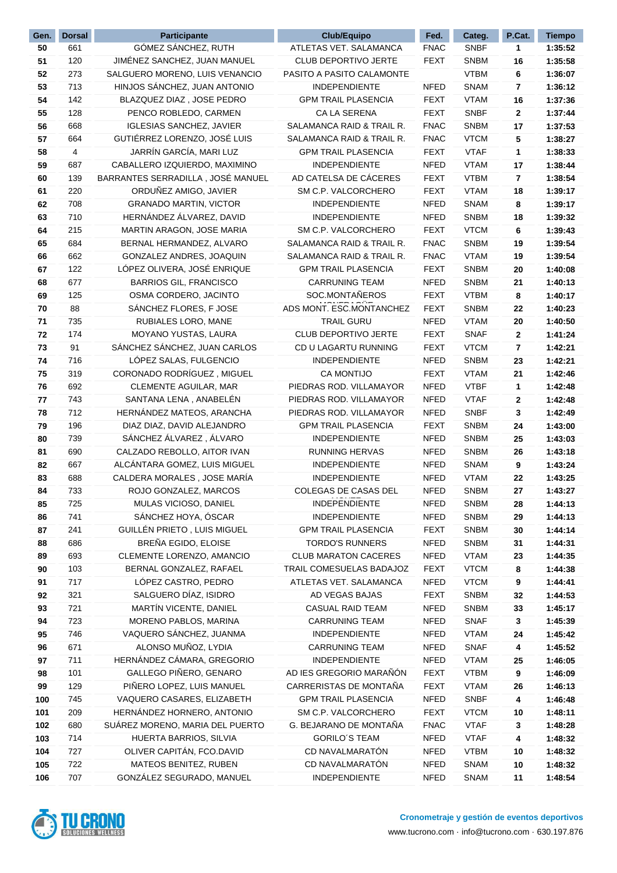| Gen.       | <b>Dorsal</b> | <b>Participante</b>                                       | <b>Club/Equipo</b>                             | Fed.                       | Categ.                     | P.Cat.  | <b>Tiempo</b>      |
|------------|---------------|-----------------------------------------------------------|------------------------------------------------|----------------------------|----------------------------|---------|--------------------|
| 50         | 661           | GÓMEZ SÁNCHEZ, RUTH                                       | ATLETAS VET. SALAMANCA                         | <b>FNAC</b>                | <b>SNBF</b>                | 1       | 1:35:52            |
| 51         | 120           | JIMÉNEZ SANCHEZ, JUAN MANUEL                              | <b>CLUB DEPORTIVO JERTE</b>                    | <b>FEXT</b>                | <b>SNBM</b>                | 16      | 1:35:58            |
| 52         | 273           | SALGUERO MORENO, LUIS VENANCIO                            | PASITO A PASITO CALAMONTE                      |                            | <b>VTBM</b>                | 6       | 1:36:07            |
| 53         | 713           | HINJOS SÁNCHEZ, JUAN ANTONIO                              | <b>INDEPENDIENTE</b>                           | <b>NFED</b>                | <b>SNAM</b>                | 7       | 1:36:12            |
| 54         | 142           | BLAZQUEZ DIAZ, JOSE PEDRO                                 | <b>GPM TRAIL PLASENCIA</b>                     | <b>FEXT</b>                | <b>VTAM</b>                | 16      | 1:37:36            |
| 55         | 128           | PENCO ROBLEDO, CARMEN                                     | <b>CA LA SERENA</b>                            | <b>FEXT</b>                | <b>SNBF</b>                | 2       | 1:37:44            |
| 56         | 668           | <b>IGLESIAS SANCHEZ, JAVIER</b>                           | SALAMANCA RAID & TRAIL R.                      | <b>FNAC</b>                | <b>SNBM</b>                | 17      | 1:37:53            |
| 57         | 664           | GUTIÉRREZ LORENZO, JOSÉ LUIS                              | SALAMANCA RAID & TRAIL R.                      | <b>FNAC</b>                | <b>VTCM</b>                | 5       | 1:38:27            |
| 58         | 4             | JARRÍN GARCÍA, MARI LUZ                                   | <b>GPM TRAIL PLASENCIA</b>                     | <b>FEXT</b>                | <b>VTAF</b>                | 1       | 1:38:33            |
| 59         | 687           | CABALLERO IZQUIERDO, MAXIMINO                             | INDEPENDIENTE                                  | <b>NFED</b>                | <b>VTAM</b>                | 17      | 1:38:44            |
| 60         | 139           | BARRANTES SERRADILLA, JOSÉ MANUEL                         | AD CATELSA DE CÁCERES                          | <b>FEXT</b>                | <b>VTBM</b>                | 7       | 1:38:54            |
| 61         | 220           | ORDUÑEZ AMIGO, JAVIER                                     | SM C.P. VALCORCHERO                            | <b>FEXT</b>                | <b>VTAM</b>                | 18      | 1:39:17            |
| 62         | 708           | <b>GRANADO MARTIN, VICTOR</b>                             | INDEPENDIENTE                                  | <b>NFED</b>                | <b>SNAM</b>                | 8       | 1:39:17            |
| 63         | 710           | HERNÁNDEZ ÁLVAREZ, DAVID                                  | INDEPENDIENTE                                  | <b>NFED</b>                | <b>SNBM</b>                | 18      | 1:39:32            |
| 64         | 215           | MARTIN ARAGON, JOSE MARIA                                 | SM C.P. VALCORCHERO                            | <b>FEXT</b>                | <b>VTCM</b>                | 6       | 1:39:43            |
| 65         | 684           | BERNAL HERMANDEZ, ALVARO                                  | SALAMANCA RAID & TRAIL R.                      | <b>FNAC</b>                | <b>SNBM</b>                | 19      | 1:39:54            |
| 66         | 662           | GONZALEZ ANDRES, JOAQUIN                                  | SALAMANCA RAID & TRAIL R.                      | <b>FNAC</b>                | <b>VTAM</b>                | 19      | 1:39:54            |
| 67         | 122           | LÓPEZ OLIVERA, JOSÉ ENRIQUE                               | <b>GPM TRAIL PLASENCIA</b>                     | <b>FEXT</b>                | <b>SNBM</b>                | 20      | 1:40:08            |
| 68         | 677           | <b>BARRIOS GIL, FRANCISCO</b>                             | <b>CARRUNING TEAM</b>                          | <b>NFED</b>                | <b>SNBM</b>                | 21      | 1:40:13            |
| 69         | 125           | OSMA CORDERO, JACINTO                                     | SOC.MONTAÑEROS                                 | <b>FEXT</b>                | <b>VTBM</b>                | 8       | 1:40:17            |
| 70         | 88            | SÁNCHEZ FLORES, F JOSE                                    | ADS MONT. ESC.MONTANCHEZ                       | <b>FEXT</b>                | <b>SNBM</b>                | 22      | 1:40:23            |
| 71         | 735           | RUBIALES LORO, MANE                                       | <b>TRAIL GURU</b>                              | <b>NFED</b>                | <b>VTAM</b>                | 20      | 1:40:50            |
| 72         | 174           | MOYANO YUSTAS, LAURA                                      | <b>CLUB DEPORTIVO JERTE</b>                    | <b>FEXT</b>                | <b>SNAF</b>                | 2       | 1:41:24            |
| 73         | 91            | SÁNCHEZ SÁNCHEZ, JUAN CARLOS                              | CD U LAGARTU RUNNING                           | <b>FEXT</b>                | <b>VTCM</b>                | 7       | 1:42:21            |
| 74         | 716           | LÓPEZ SALAS, FULGENCIO                                    | <b>INDEPENDIENTE</b>                           | <b>NFED</b>                | <b>SNBM</b>                | 23      | 1:42:21            |
| 75         | 319<br>692    | CORONADO RODRÍGUEZ, MIGUEL<br>CLEMENTE AGUILAR, MAR       | <b>CA MONTIJO</b><br>PIEDRAS ROD. VILLAMAYOR   | <b>FEXT</b><br><b>NFED</b> | <b>VTAM</b><br><b>VTBF</b> | 21      | 1:42:46            |
| 76<br>77   | 743           | SANTANA LENA, ANABELEN                                    | PIEDRAS ROD. VILLAMAYOR                        | <b>NFED</b>                | <b>VTAF</b>                | 1<br>2  | 1:42:48<br>1:42:48 |
| 78         | 712           | HERNÁNDEZ MATEOS, ARANCHA                                 | PIEDRAS ROD. VILLAMAYOR                        | <b>NFED</b>                | <b>SNBF</b>                | 3       | 1:42:49            |
| 79         | 196           | DIAZ DIAZ, DAVID ALEJANDRO                                | <b>GPM TRAIL PLASENCIA</b>                     | <b>FEXT</b>                | <b>SNBM</b>                | 24      | 1:43:00            |
| 80         | 739           | SÁNCHEZ ÁLVAREZ, ÁLVARO                                   | INDEPENDIENTE                                  | <b>NFED</b>                | <b>SNBM</b>                | 25      | 1:43:03            |
| 81         | 690           | CALZADO REBOLLO, AITOR IVAN                               | <b>RUNNING HERVAS</b>                          | <b>NFED</b>                | <b>SNBM</b>                | 26      | 1:43:18            |
| 82         | 667           | ALCÁNTARA GOMEZ, LUIS MIGUEL                              | <b>INDEPENDIENTE</b>                           | <b>NFED</b>                | <b>SNAM</b>                | 9       | 1:43:24            |
| 83         | 688           | CALDERA MORALES, JOSE MARÍA                               | <b>INDEPENDIENTE</b>                           | <b>NFED</b>                | <b>VTAM</b>                | 22      | 1:43:25            |
| 84         | 733           | ROJO GONZALEZ, MARCOS                                     | COLEGAS DE CASAS DEL                           | <b>NFED</b>                | <b>SNBM</b>                | 27      | 1:43:27            |
| 85         | 725           | MULAS VICIOSO, DANIEL                                     | <b>INDEPENDIENTE</b>                           | <b>NFED</b>                | SNBM                       | 28      | 1:44:13            |
| 86         | 741           | SÁNCHEZ HOYA, ÓSCAR                                       | <b>INDEPENDIENTE</b>                           | <b>NFED</b>                | <b>SNBM</b>                | 29      | 1:44:13            |
| 87         | 241           | GUILLÉN PRIETO, LUIS MIGUEL                               | <b>GPM TRAIL PLASENCIA</b>                     | <b>FEXT</b>                | <b>SNBM</b>                | 30      | 1:44:14            |
| 88         | 686           | BREÑA EGIDO, ELOISE                                       | <b>TORDO'S RUNNERS</b>                         | <b>NFED</b>                | <b>SNBM</b>                | 31      | 1:44:31            |
| 89         | 693           | CLEMENTE LORENZO, AMANCIO                                 | <b>CLUB MARATON CACERES</b>                    | <b>NFED</b>                | <b>VTAM</b>                | 23      | 1:44:35            |
| 90         | 103           | BERNAL GONZALEZ, RAFAEL                                   | TRAIL COMESUELAS BADAJOZ                       | <b>FEXT</b>                | <b>VTCM</b>                | 8       | 1:44:38            |
| 91         | 717           | LÓPEZ CASTRO, PEDRO                                       | ATLETAS VET. SALAMANCA                         | <b>NFED</b>                | <b>VTCM</b>                | 9       | 1:44:41            |
| 92         | 321           | SALGUERO DÍAZ, ISIDRO                                     | AD VEGAS BAJAS                                 | <b>FEXT</b>                | <b>SNBM</b>                | 32      | 1:44:53            |
| 93         | 721           | MARTÍN VICENTE, DANIEL                                    | <b>CASUAL RAID TEAM</b>                        | <b>NFED</b>                | <b>SNBM</b>                | 33      | 1:45:17            |
| 94         | 723           | MORENO PABLOS, MARINA                                     | <b>CARRUNING TEAM</b>                          | <b>NFED</b>                | <b>SNAF</b>                | 3       | 1:45:39            |
| 95         | 746           | VAQUERO SÁNCHEZ, JUANMA                                   | <b>INDEPENDIENTE</b>                           | <b>NFED</b>                | <b>VTAM</b>                | 24      | 1:45:42            |
| 96         | 671           | ALONSO MUÑOZ, LYDIA                                       | <b>CARRUNING TEAM</b>                          | <b>NFED</b>                | <b>SNAF</b>                | 4       | 1:45:52            |
| 97         | 711           | HERNÁNDEZ CÁMARA, GREGORIO                                | <b>INDEPENDIENTE</b>                           | <b>NFED</b>                | <b>VTAM</b>                | 25      | 1:46:05            |
| 98         | 101           | GALLEGO PIÑERO, GENARO                                    | AD IES GREGORIO MARAÑÓN                        | <b>FEXT</b>                | <b>VTBM</b>                | 9       | 1:46:09            |
| 99         | 129           | PIÑERO LOPEZ, LUIS MANUEL                                 | CARRERISTAS DE MONTAÑA                         | <b>FEXT</b>                | <b>VTAM</b>                | 26      | 1:46:13            |
| 100        | 745           | VAQUERO CASARES, ELIZABETH                                | <b>GPM TRAIL PLASENCIA</b>                     | NFED                       | <b>SNBF</b>                | 4       | 1:46:48            |
| 101        | 209           | HERNÁNDEZ HORNERO, ANTONIO                                | SM C.P. VALCORCHERO                            | <b>FEXT</b>                | <b>VTCM</b>                | 10      | 1:48:11            |
| 102<br>103 | 680<br>714    | SUÁREZ MORENO, MARIA DEL PUERTO<br>HUERTA BARRIOS, SILVIA | G. BEJARANO DE MONTAÑA<br><b>GORILO'S TEAM</b> | <b>FNAC</b><br><b>NFED</b> | <b>VTAF</b><br><b>VTAF</b> | 3       | 1:48:28            |
| 104        | 727           | OLIVER CAPITÁN, FCO.DAVID                                 | CD NAVALMARATÓN                                | <b>NFED</b>                | <b>VTBM</b>                | 4<br>10 | 1:48:32<br>1:48:32 |
| 105        | 722           | MATEOS BENITEZ, RUBEN                                     | CD NAVALMARATÓN                                | NFED                       | <b>SNAM</b>                | 10      | 1:48:32            |
| 106        | 707           | GONZÁLEZ SEGURADO, MANUEL                                 | INDEPENDIENTE                                  | <b>NFED</b>                | <b>SNAM</b>                | 11      | 1:48:54            |
|            |               |                                                           |                                                |                            |                            |         |                    |

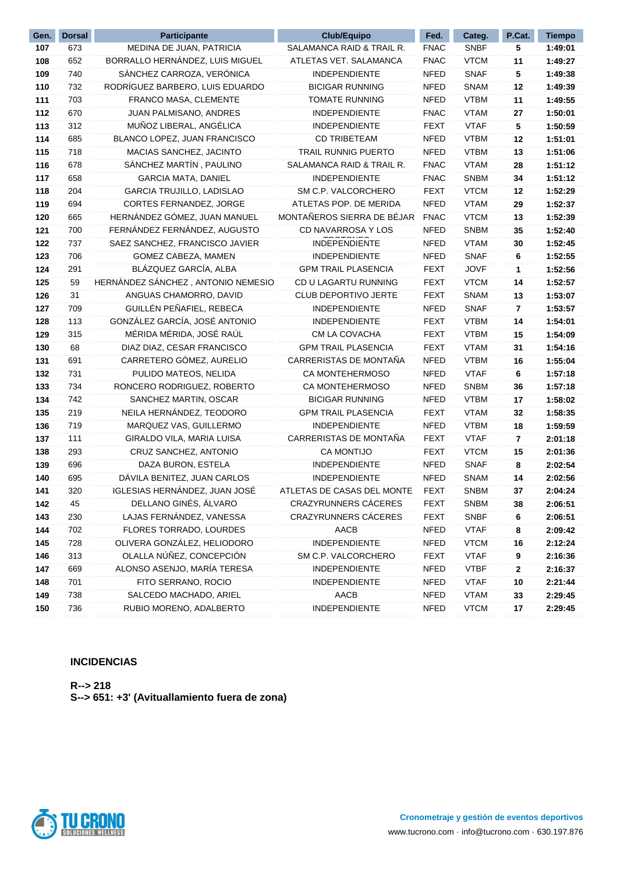| Gen. | <b>Dorsal</b> | <b>Participante</b>                | <b>Club/Equipo</b>          | Fed.        | Categ.      | P.Cat. | <b>Tiempo</b> |
|------|---------------|------------------------------------|-----------------------------|-------------|-------------|--------|---------------|
| 107  | 673           | MEDINA DE JUAN, PATRICIA           | SALAMANCA RAID & TRAIL R.   | <b>FNAC</b> | <b>SNBF</b> | 5      | 1:49:01       |
| 108  | 652           | BORRALLO HERNÁNDEZ, LUIS MIGUEL    | ATLETAS VET. SALAMANCA      | <b>FNAC</b> | <b>VTCM</b> | 11     | 1:49:27       |
| 109  | 740           | SÁNCHEZ CARROZA, VERÓNICA          | <b>INDEPENDIENTE</b>        | <b>NFED</b> | <b>SNAF</b> | 5      | 1:49:38       |
| 110  | 732           | RODRÍGUEZ BARBERO, LUIS EDUARDO    | <b>BICIGAR RUNNING</b>      | <b>NFED</b> | <b>SNAM</b> | 12     | 1:49:39       |
| 111  | 703           | FRANCO MASA, CLEMENTE              | <b>TOMATE RUNNING</b>       | <b>NFED</b> | <b>VTBM</b> | 11     | 1:49:55       |
| 112  | 670           | JUAN PALMISANO, ANDRES             | <b>INDEPENDIENTE</b>        | <b>FNAC</b> | <b>VTAM</b> | 27     | 1:50:01       |
| 113  | 312           | MUÑOZ LIBERAL, ANGÉLICA            | <b>INDEPENDIENTE</b>        | <b>FEXT</b> | <b>VTAF</b> | 5      | 1:50:59       |
| 114  | 685           | BLANCO LOPEZ, JUAN FRANCISCO       | <b>CD TRIBETEAM</b>         | <b>NFED</b> | <b>VTBM</b> | 12     | 1:51:01       |
| 115  | 718           | MACIAS SANCHEZ, JACINTO            | <b>TRAIL RUNNIG PUERTO</b>  | <b>NFED</b> | <b>VTBM</b> | 13     | 1:51:06       |
| 116  | 678           | SÁNCHEZ MARTÍN, PAULINO            | SALAMANCA RAID & TRAIL R.   | <b>FNAC</b> | <b>VTAM</b> | 28     | 1:51:12       |
| 117  | 658           | <b>GARCIA MATA, DANIEL</b>         | INDEPENDIENTE               | <b>FNAC</b> | <b>SNBM</b> | 34     | 1:51:12       |
| 118  | 204           | GARCIA TRUJILLO, LADISLAO          | SM C.P. VALCORCHERO         | <b>FEXT</b> | <b>VTCM</b> | 12     | 1:52:29       |
| 119  | 694           | CORTES FERNANDEZ, JORGE            | ATLETAS POP. DE MERIDA      | <b>NFED</b> | <b>VTAM</b> | 29     | 1:52:37       |
| 120  | 665           | HERNÁNDEZ GÓMEZ, JUAN MANUEL       | MONTAÑEROS SIERRA DE BÉJAR  | <b>FNAC</b> | <b>VTCM</b> | 13     | 1:52:39       |
| 121  | 700           | FERNÁNDEZ FERNÁNDEZ, AUGUSTO       | CD NAVARROSA Y LOS          | <b>NFED</b> | <b>SNBM</b> | 35     | 1:52:40       |
| 122  | 737           | SAEZ SANCHEZ, FRANCISCO JAVIER     | INDEPENDIENTE               | <b>NFED</b> | <b>VTAM</b> | 30     | 1:52:45       |
| 123  | 706           | GOMEZ CABEZA, MAMEN                | INDEPENDIENTE               | <b>NFED</b> | <b>SNAF</b> | 6      | 1:52:55       |
| 124  | 291           | BLÁZQUEZ GARCÍA, ALBA              | <b>GPM TRAIL PLASENCIA</b>  | <b>FEXT</b> | <b>JOVF</b> | 1      | 1:52:56       |
| 125  | 59            | HERNÁNDEZ SÁNCHEZ, ANTONIO NEMESIO | CD U LAGARTU RUNNING        | <b>FEXT</b> | <b>VTCM</b> | 14     | 1:52:57       |
| 126  | 31            | ANGUAS CHAMORRO, DAVID             | CLUB DEPORTIVO JERTE        | <b>FEXT</b> | <b>SNAM</b> | 13     | 1:53:07       |
| 127  | 709           | GUILLÉN PEÑAFIEL, REBECA           | <b>INDEPENDIENTE</b>        | <b>NFED</b> | <b>SNAF</b> | 7      | 1:53:57       |
| 128  | 113           | GONZÁLEZ GARCÍA, JOSÉ ANTONIO      | INDEPENDIENTE               | <b>FEXT</b> | <b>VTBM</b> | 14     | 1:54:01       |
| 129  | 315           | MÉRIDA MÉRIDA, JOSÉ RAÚL           | CM LA COVACHA               | <b>FEXT</b> | <b>VTBM</b> | 15     | 1:54:09       |
| 130  | 68            | DIAZ DIAZ, CESAR FRANCISCO         | <b>GPM TRAIL PLASENCIA</b>  | <b>FEXT</b> | <b>VTAM</b> | 31     | 1:54:16       |
| 131  | 691           | CARRETERO GÓMEZ, AURELIO           | CARRERISTAS DE MONTAÑA      | <b>NFED</b> | <b>VTBM</b> | 16     | 1:55:04       |
| 132  | 731           | PULIDO MATEOS, NELIDA              | CA MONTEHERMOSO             | <b>NFED</b> | <b>VTAF</b> | 6      | 1:57:18       |
| 133  | 734           | RONCERO RODRIGUEZ, ROBERTO         | CA MONTEHERMOSO             | <b>NFED</b> | <b>SNBM</b> | 36     | 1:57:18       |
| 134  | 742           | SANCHEZ MARTIN, OSCAR              | <b>BICIGAR RUNNING</b>      | <b>NFED</b> | <b>VTBM</b> | 17     | 1:58:02       |
| 135  | 219           | NEILA HERNÁNDEZ, TEODORO           | <b>GPM TRAIL PLASENCIA</b>  | <b>FEXT</b> | <b>VTAM</b> | 32     | 1:58:35       |
| 136  | 719           | MARQUEZ VAS, GUILLERMO             | INDEPENDIENTE               | <b>NFED</b> | <b>VTBM</b> | 18     | 1:59:59       |
| 137  | 111           | GIRALDO VILA, MARIA LUISA          | CARRERISTAS DE MONTAÑA      | <b>FEXT</b> | <b>VTAF</b> | 7      | 2:01:18       |
| 138  | 293           | CRUZ SANCHEZ, ANTONIO              | <b>CA MONTIJO</b>           | <b>FEXT</b> | <b>VTCM</b> | 15     | 2:01:36       |
| 139  | 696           | DAZA BURON, ESTELA                 | INDEPENDIENTE               | <b>NFED</b> | <b>SNAF</b> | 8      | 2:02:54       |
| 140  | 695           | DÁVILA BENITEZ, JUAN CARLOS        | INDEPENDIENTE               | <b>NFED</b> | <b>SNAM</b> | 14     | 2:02:56       |
| 141  | 320           | IGLESIAS HERNÁNDEZ, JUAN JOSÉ      | ATLETAS DE CASAS DEL MONTE  | <b>FEXT</b> | <b>SNBM</b> | 37     | 2:04:24       |
| 142  | 45            | DELLANO GINÉS, ÁLVARO              | <b>CRAZYRUNNERS CÁCERES</b> | <b>FEXT</b> | <b>SNBM</b> | 38     | 2:06:51       |
| 143  | 230           | LAJAS FERNÁNDEZ, VANESSA           | <b>CRAZYRUNNERS CÁCERES</b> | <b>FEXT</b> | <b>SNBF</b> | 6      | 2:06:51       |
| 144  | 702           | FLORES TORRADO, LOURDES            | AACB                        | NFED        | <b>VTAF</b> | 8      | 2:09:42       |
| 145  | 728           | OLIVERA GONZÁLEZ, HELIODORO        | <b>INDEPENDIENTE</b>        | <b>NFED</b> | <b>VTCM</b> | 16     | 2:12:24       |
| 146  | 313           | OLALLA NÚÑEZ, CONCEPCIÓN           | SM C.P. VALCORCHERO         | FEXT        | <b>VTAF</b> | 9      | 2:16:36       |
| 147  | 669           | ALONSO ASENJO, MARÍA TERESA        | INDEPENDIENTE               | <b>NFED</b> | <b>VTBF</b> | 2      | 2:16:37       |
| 148  | 701           | FITO SERRANO, ROCIO                | INDEPENDIENTE               | <b>NFED</b> | <b>VTAF</b> | 10     | 2:21:44       |
| 149  | 738           | SALCEDO MACHADO, ARIEL             | AACB                        | NFED        | <b>VTAM</b> | 33     | 2:29:45       |
| 150  | 736           | RUBIO MORENO, ADALBERTO            | INDEPENDIENTE               | NFED        | <b>VTCM</b> | 17     | 2:29:45       |

#### **INCIDENCIAS**

**R--> 218 S--> 651: +3' (Avituallamiento fuera de zona)**

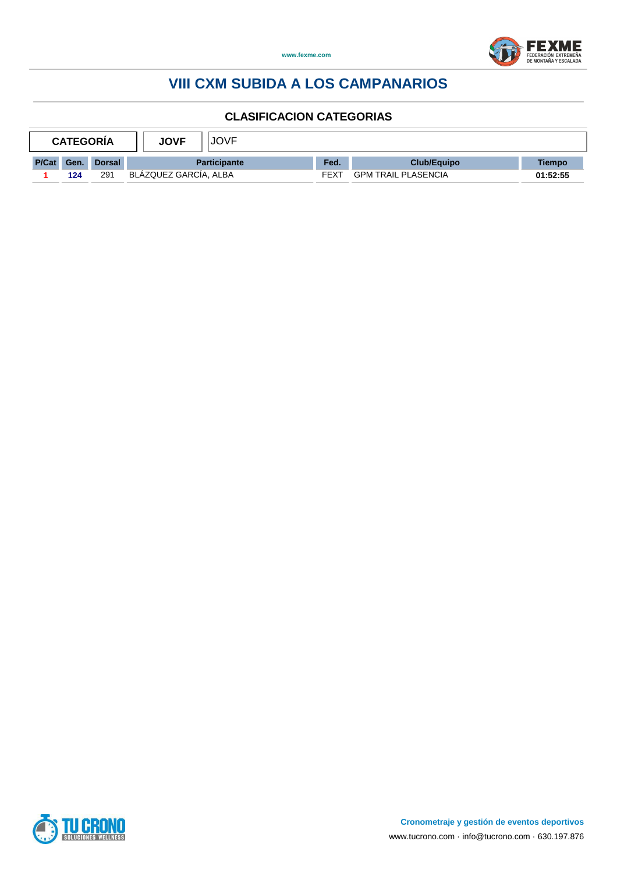



| <b>CATEGORIA</b> |      |               | <b>JOVF</b><br><b>JOVF</b> |             |                            |          |
|------------------|------|---------------|----------------------------|-------------|----------------------------|----------|
| <b>P/Cat</b>     | Gen. | <b>Dorsal</b> | <b>Participante</b>        | Fed.        | <b>Club/Equipo</b>         | Tiempo   |
|                  | 124  | 291           | BLAZQUEZ GARCIA, ALBA      | <b>FEXT</b> | <b>GPM TRAIL PLASENCIA</b> | 01:52:55 |

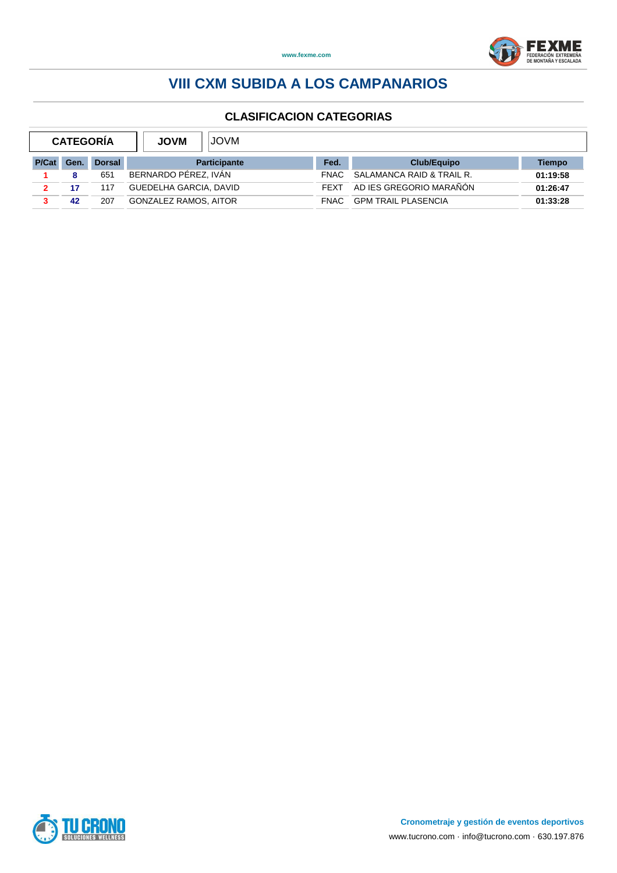

| <b>CATEGORÍA</b> |      |               | <b>JOVM</b><br><b>JOVM</b>   |             |                            |          |
|------------------|------|---------------|------------------------------|-------------|----------------------------|----------|
| P/Cat            | Gen. | <b>Dorsal</b> | <b>Participante</b>          | Fed.        | Club/Equipo                | Tiempo   |
|                  |      | 651           | BERNARDO PEREZ. IVAN         | FNAC.       | SALAMANCA RAID & TRAIL R.  | 01:19:58 |
| 2.               | 17   | 117           | GUEDELHA GARCIA, DAVID       | <b>FFXT</b> | AD IES GREGORIO MARAÑÓN    | 01:26:47 |
|                  | 42   | 207           | <b>GONZALEZ RAMOS, AITOR</b> | <b>FNAC</b> | <b>GPM TRAIL PLASENCIA</b> | 01:33:28 |

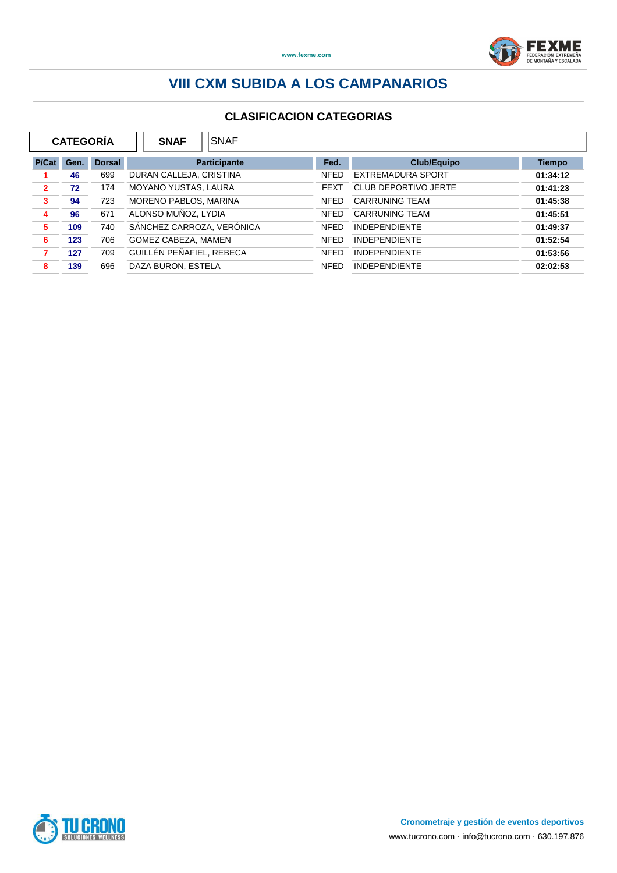

| <b>CATEGORIA</b><br><b>SNAF</b><br><b>SNAF</b> |      |               |                             |              |             |                             |               |
|------------------------------------------------|------|---------------|-----------------------------|--------------|-------------|-----------------------------|---------------|
| P/Cat                                          | Gen. | <b>Dorsal</b> |                             | Participante | Fed.        | <b>Club/Equipo</b>          | <b>Tiempo</b> |
|                                                | 46   | 699           | DURAN CALLEJA, CRISTINA     |              | <b>NFED</b> | EXTREMADURA SPORT           | 01:34:12      |
| $\overline{2}$                                 | 72   | 174           | <b>MOYANO YUSTAS, LAURA</b> |              | <b>FEXT</b> | <b>CLUB DEPORTIVO JERTE</b> | 01:41:23      |
| 3                                              | 94   | 723           | MORENO PABLOS, MARINA       |              | <b>NFED</b> | <b>CARRUNING TEAM</b>       | 01:45:38      |
| 4                                              | 96   | 671           | ALONSO MUÑOZ, LYDIA         |              | <b>NFED</b> | <b>CARRUNING TEAM</b>       | 01:45:51      |
| 5                                              | 109  | 740           | SÁNCHEZ CARROZA, VERÓNICA   |              | <b>NFED</b> | <b>INDEPENDIENTE</b>        | 01:49:37      |
| 6                                              | 123  | 706           | GOMEZ CABEZA, MAMEN         |              | <b>NFED</b> | <b>INDEPENDIENTE</b>        | 01:52:54      |
|                                                | 127  | 709           | GUILLÉN PEÑAFIEL, REBECA    |              | <b>NFED</b> | <b>INDEPENDIENTE</b>        | 01:53:56      |
| 8                                              | 139  | 696           | DAZA BURON, ESTELA          |              | <b>NFED</b> | <b>INDEPENDIENTE</b>        | 02:02:53      |

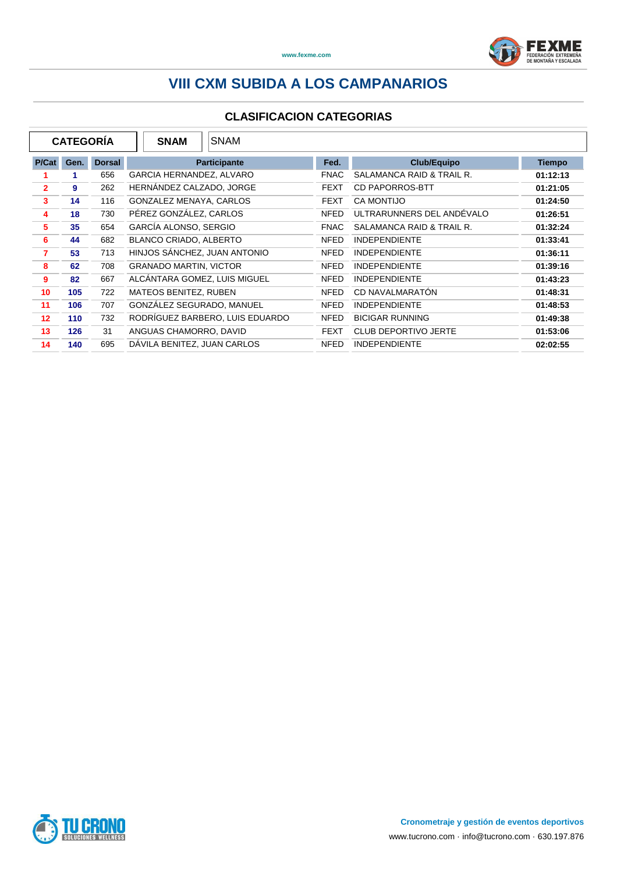

|                | <b>CATEGORÍA</b> |               |                          | <b>SNAM</b>                   | <b>SNAM</b>                     |             |                             |               |
|----------------|------------------|---------------|--------------------------|-------------------------------|---------------------------------|-------------|-----------------------------|---------------|
| P/Cat          | Gen.             | <b>Dorsal</b> |                          |                               | <b>Participante</b>             | Fed.        | <b>Club/Equipo</b>          | <b>Tiempo</b> |
|                | 1                | 656           | GARCIA HERNANDEZ, ALVARO |                               |                                 | <b>FNAC</b> | SALAMANCA RAID & TRAIL R.   | 01:12:13      |
| $\overline{2}$ | 9                | 262           |                          | HERNÁNDEZ CALZADO, JORGE      |                                 | <b>FEXT</b> | CD PAPORROS-BTT             | 01:21:05      |
| 3              | 14               | 116           |                          | GONZALEZ MENAYA, CARLOS       |                                 | <b>FEXT</b> | <b>CA MONTIJO</b>           | 01:24:50      |
| 4              | 18               | 730           |                          | PÉREZ GONZÁLEZ, CARLOS        |                                 | <b>NFED</b> | ULTRARUNNERS DEL ANDEVALO   | 01:26:51      |
| 5              | 35               | 654           |                          | GARCÍA ALONSO, SERGIO         |                                 | <b>FNAC</b> | SALAMANCA RAID & TRAIL R.   | 01:32:24      |
| 6              | 44               | 682           |                          | <b>BLANCO CRIADO, ALBERTO</b> |                                 |             | <b>INDEPENDIENTE</b>        | 01:33:41      |
| $\overline{7}$ | 53               | 713           |                          |                               | HINJOS SANCHEZ, JUAN ANTONIO    | <b>NFED</b> | <b>INDEPENDIENTE</b>        | 01:36:11      |
| 8              | 62               | 708           |                          | <b>GRANADO MARTIN, VICTOR</b> |                                 | <b>NFED</b> | <b>INDEPENDIENTE</b>        | 01:39:16      |
| 9              | 82               | 667           |                          |                               | ALCÁNTARA GOMEZ, LUIS MIGUEL    | <b>NFED</b> | <b>INDEPENDIENTE</b>        | 01:43:23      |
| 10             | 105              | 722           |                          | MATEOS BENITEZ, RUBEN         |                                 | <b>NFED</b> | CD NAVALMARATÓN             | 01:48:31      |
| 11             | 106              | 707           |                          |                               | GONZÁLEZ SEGURADO. MANUEL       | <b>NFED</b> | <b>INDEPENDIENTE</b>        | 01:48:53      |
| 12             | 110              | 732           |                          |                               | RODRÍGUEZ BARBERO, LUIS EDUARDO | <b>NFED</b> | <b>BICIGAR RUNNING</b>      | 01:49:38      |
| 13             | 126              | 31            |                          | ANGUAS CHAMORRO, DAVID        |                                 | <b>FEXT</b> | <b>CLUB DEPORTIVO JERTE</b> | 01:53:06      |
| 14             | 140              | 695           |                          |                               | DAVILA BENITEZ, JUAN CARLOS     | <b>NFED</b> | <b>INDEPENDIENTE</b>        | 02:02:55      |

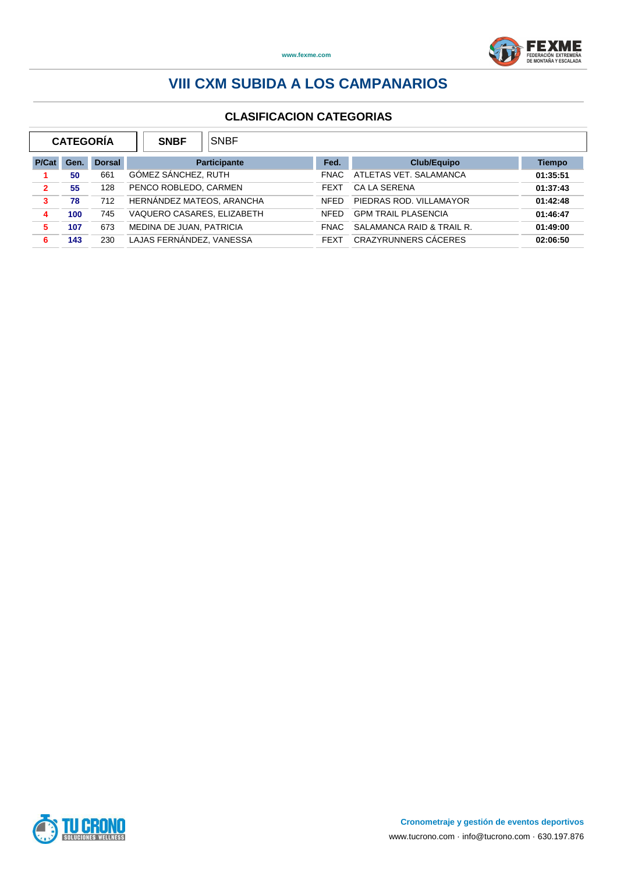

|                | <b>CATEGORIA</b> |               | <b>SNBF</b>                | <b>SNBF</b>         |             |                            |               |
|----------------|------------------|---------------|----------------------------|---------------------|-------------|----------------------------|---------------|
| P/Cat          | Gen.             | <b>Dorsal</b> |                            | <b>Participante</b> | Fed.        | <b>Club/Equipo</b>         | <b>Tiempo</b> |
|                | 50               | 661           | GÓMEZ SÁNCHEZ, RUTH        |                     | FNAC.       | ATLETAS VET. SALAMANCA     | 01:35:51      |
| $\overline{2}$ | 55               | 128           | PENCO ROBLEDO, CARMEN      |                     | <b>FEXT</b> | <b>CA LA SERENA</b>        | 01:37:43      |
| 3              | 78               | 712           | HERNÁNDEZ MATEOS, ARANCHA  |                     | <b>NFED</b> | PIEDRAS ROD, VILLAMAYOR    | 01:42:48      |
| 4              | 100              | 745           | VAQUERO CASARES, ELIZABETH |                     | <b>NFED</b> | <b>GPM TRAIL PLASENCIA</b> | 01:46:47      |
| 5              | 107              | 673           | MEDINA DE JUAN, PATRICIA   |                     | FNAC.       | SALAMANCA RAID & TRAIL R.  | 01:49:00      |
| 6              | 143              | 230           | LAJAS FERNÁNDEZ, VANESSA   |                     | <b>FEXT</b> | CRAZYRUNNERS CÁCERES       | 02:06:50      |

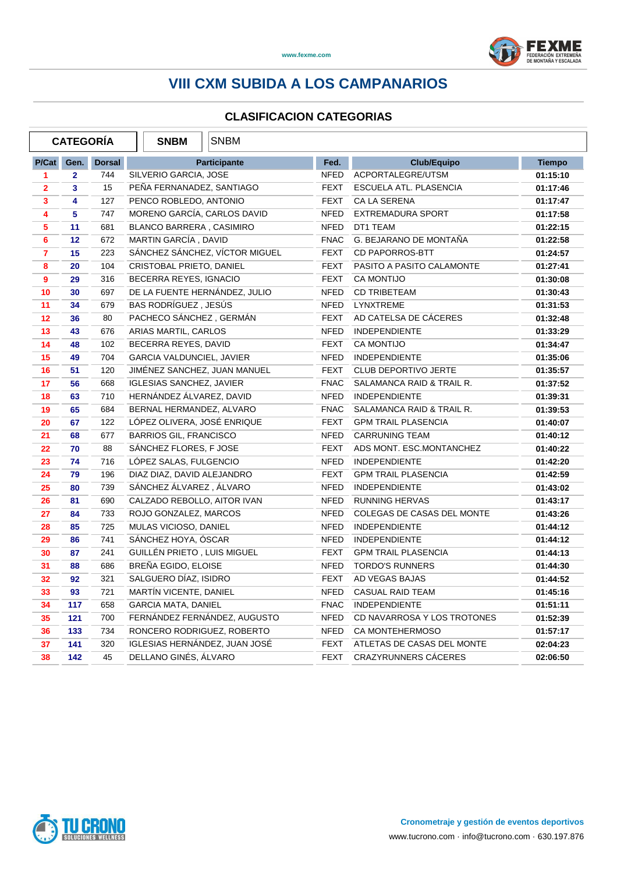

#### **CLASIFICACION CATEGORIAS**

 $\overline{1}$ 

 $\overline{1}$   $\overline{1}$ 

|                         | <b>CATEGORÍA</b> |               | <b>SNBM</b><br><b>SNBM</b>      |             |                             |               |
|-------------------------|------------------|---------------|---------------------------------|-------------|-----------------------------|---------------|
| P/Cat                   | Gen.             | <b>Dorsal</b> | <b>Participante</b>             | Fed.        | <b>Club/Equipo</b>          | <b>Tiempo</b> |
| $\blacktriangleleft$    | $\overline{2}$   | 744           | SILVERIO GARCIA, JOSE           | NFED        | ACPORTALEGRE/UTSM           | 01:15:10      |
| $\overline{2}$          | $\mathbf{3}$     | 15            | PEÑA FERNANADEZ, SANTIAGO       | <b>FEXT</b> | ESCUELA ATL. PLASENCIA      | 01:17:46      |
| 3                       | 4                | 127           | PENCO ROBLEDO, ANTONIO          | <b>FEXT</b> | CA LA SERENA                | 01:17:47      |
| $\overline{\mathbf{4}}$ | 5                | 747           | MORENO GARCÍA, CARLOS DAVID     | NFED        | <b>EXTREMADURA SPORT</b>    | 01:17:58      |
| 5                       | 11               | 681           | <b>BLANCO BARRERA, CASIMIRO</b> | <b>NFED</b> | DT1 TEAM                    | 01:22:15      |
| 6                       | 12 <sup>2</sup>  | 672           | MARTIN GARCÍA, DAVID            | <b>FNAC</b> | G. BEJARANO DE MONTAÑA      | 01:22:58      |
| $\overline{7}$          | 15               | 223           | SÁNCHEZ SÁNCHEZ, VÍCTOR MIGUEL  | <b>FEXT</b> | <b>CD PAPORROS-BTT</b>      | 01:24:57      |
| 8                       | 20               | 104           | CRISTOBAL PRIETO, DANIEL        | <b>FEXT</b> | PASITO A PASITO CALAMONTE   | 01:27:41      |
| $\overline{9}$          | 29               | 316           | BECERRA REYES, IGNACIO          | FEXT        | <b>CA MONTIJO</b>           | 01:30:08      |
| 10                      | 30               | 697           | DE LA FUENTE HERNANDEZ, JULIO   | NFED        | <b>CD TRIBETEAM</b>         | 01:30:43      |
| 11                      | 34               | 679           | BAS RODRÍGUEZ, JESÚS            | NFED        | <b>LYNXTREME</b>            | 01:31:53      |
| 12                      | 36               | 80            | PACHECO SÁNCHEZ, GERMÁN         | FEXT        | AD CATELSA DE CÁCERES       | 01:32:48      |
| 13                      | 43               | 676           | ARIAS MARTIL, CARLOS            | <b>NFED</b> | <b>INDEPENDIENTE</b>        | 01:33:29      |
| 14                      | 48               | 102           | BECERRA REYES, DAVID            | FEXT        | <b>CA MONTIJO</b>           | 01:34:47      |
| 15                      | 49               | 704           | GARCIA VALDUNCIEL, JAVIER       | NFED        | <b>INDEPENDIENTE</b>        | 01:35:06      |
| 16                      | 51               | 120           | JIMÉNEZ SANCHEZ, JUAN MANUEL    | <b>FEXT</b> | <b>CLUB DEPORTIVO JERTE</b> | 01:35:57      |
| 17                      | 56               | 668           | <b>IGLESIAS SANCHEZ, JAVIER</b> | FNAC        | SALAMANCA RAID & TRAIL R.   | 01:37:52      |
| 18                      | 63               | 710           | HERNÁNDEZ ÁLVAREZ, DAVID        | <b>NFED</b> | <b>INDEPENDIENTE</b>        | 01:39:31      |
| 19                      | 65               | 684           | BERNAL HERMANDEZ, ALVARO        | <b>FNAC</b> | SALAMANCA RAID & TRAIL R.   | 01:39:53      |
| 20                      | 67               | 122           | LÓPEZ OLIVERA, JOSÉ ENRIQUE     | FEXT        | <b>GPM TRAIL PLASENCIA</b>  | 01:40:07      |
| 21                      | 68               | 677           | <b>BARRIOS GIL, FRANCISCO</b>   | NFED        | <b>CARRUNING TEAM</b>       | 01:40:12      |
| 22                      | 70               | 88            | SÁNCHEZ FLORES, F JOSE          | <b>FEXT</b> | ADS MONT. ESC.MONTANCHEZ    | 01:40:22      |
| 23                      | 74               | 716           | LOPEZ SALAS, FULGENCIO          | NFED        | <b>INDEPENDIENTE</b>        | 01:42:20      |
| 24                      | 79               | 196           | DIAZ DIAZ, DAVID ALEJANDRO      | FEXT        | <b>GPM TRAIL PLASENCIA</b>  | 01:42:59      |
| 25                      | 80               | 739           | SÁNCHEZ ÁLVAREZ, ÁLVARO         | NFED        | <b>INDEPENDIENTE</b>        | 01:43:02      |
| 26                      | 81               | 690           | CALZADO REBOLLO, AITOR IVAN     | <b>NFED</b> | <b>RUNNING HERVAS</b>       | 01:43:17      |
| 27                      | 84               | 733           | ROJO GONZALEZ, MARCOS           | NFED        | COLEGAS DE CASAS DEL MONTE  | 01:43:26      |
| 28                      | 85               | 725           | MULAS VICIOSO, DANIEL           | NFED        | <b>INDEPENDIENTE</b>        | 01:44:12      |
| 29                      | 86               | 741           | SÁNCHEZ HOYA, ÓSCAR             | <b>NFED</b> | <b>INDEPENDIENTE</b>        | 01:44:12      |
| 30                      | 87               | 241           | GUILLÉN PRIETO, LUIS MIGUEL     | FEXT        | <b>GPM TRAIL PLASENCIA</b>  | 01:44:13      |
| 31                      | 88               | 686           | BREÑA EGIDO, ELOISE             | <b>NFED</b> | <b>TORDO'S RUNNERS</b>      | 01:44:30      |
| 32                      | 92               | 321           | SALGUERO DÍAZ, ISIDRO           | <b>FEXT</b> | AD VEGAS BAJAS              | 01:44:52      |
| 33                      | 93               | 721           | MARTÍN VICENTE, DANIEL          | NFED        | <b>CASUAL RAID TEAM</b>     | 01:45:16      |
| 34                      | 117              | 658           | <b>GARCIA MATA, DANIEL</b>      | <b>FNAC</b> | <b>INDEPENDIENTE</b>        | 01:51:11      |
| 35                      | 121              | 700           | FERNÁNDEZ FERNÁNDEZ, AUGUSTO    | NFED        | CD NAVARROSA Y LOS TROTONES | 01:52:39      |
| 36                      | 133              | 734           | RONCERO RODRIGUEZ, ROBERTO      | NFED        | <b>CA MONTEHERMOSO</b>      | 01:57:17      |
| 37                      | 141              | 320           | IGLESIAS HERNANDEZ, JUAN JOSÉ   | FEXT        | ATLETAS DE CASAS DEL MONTE  | 02:04:23      |
| 38                      | 142              | 45            | DELLANO GINÉS, ÁLVARO           | FEXT        | <b>CRAZYRUNNERS CACERES</b> | 02:06:50      |

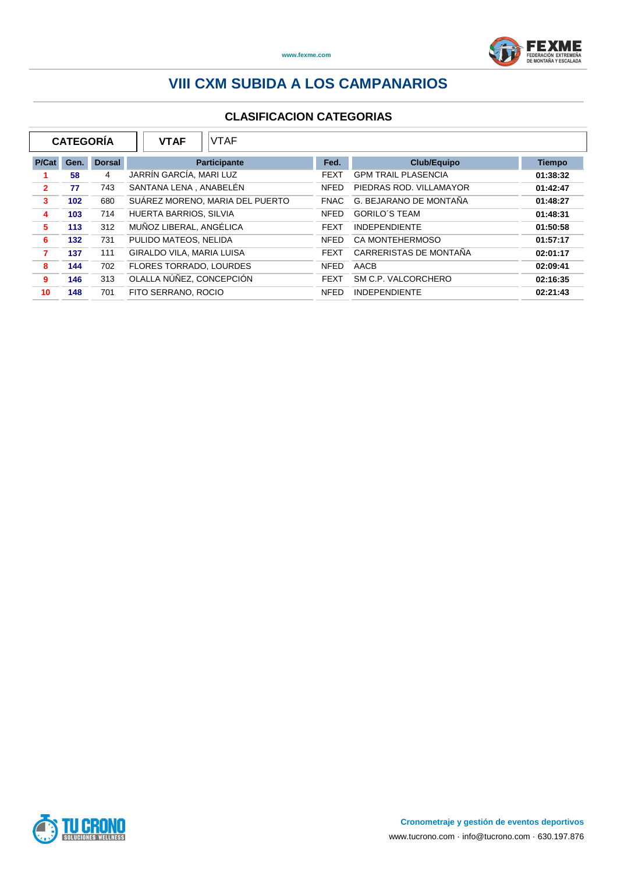

|                | <b>CATEGORÍA</b> |               | <b>VTAF</b><br><b>VTAF</b>      |             |                            |               |
|----------------|------------------|---------------|---------------------------------|-------------|----------------------------|---------------|
| P/Cat          | Gen.             | <b>Dorsal</b> | <b>Participante</b>             | Fed.        | <b>Club/Equipo</b>         | <b>Tiempo</b> |
|                | 58               | 4             | JARRÍN GARCÍA, MARI LUZ         | <b>FEXT</b> | <b>GPM TRAIL PLASENCIA</b> | 01:38:32      |
| $\overline{2}$ | 77               | 743           | SANTANA LENA . ANABELÉN         | <b>NFED</b> | PIEDRAS ROD, VILLAMAYOR    | 01:42:47      |
| 3              | 102 <sub>2</sub> | 680           | SUÁREZ MORENO, MARIA DEL PUERTO | <b>FNAC</b> | G. BEJARANO DE MONTAÑA     | 01:48:27      |
| 4              | 103              | 714           | HUERTA BARRIOS, SILVIA          | <b>NFED</b> | <b>GORILO'S TEAM</b>       | 01:48:31      |
| 5              | 113              | 312           | MUÑOZ LIBERAL, ANGÉLICA         | <b>FEXT</b> | <b>INDEPENDIENTE</b>       | 01:50:58      |
| 6              | $132$            | 731           | PULIDO MATEOS, NELIDA           | <b>NFED</b> | <b>CA MONTEHERMOSO</b>     | 01:57:17      |
| $\overline{7}$ | 137              | 111           | GIRALDO VILA, MARIA LUISA       | <b>FEXT</b> | CARRERISTAS DE MONTAÑA     | 02:01:17      |
| 8              | 144              | 702           | FLORES TORRADO, LOURDES         | <b>NFED</b> | AACB                       | 02:09:41      |
| 9              | 146              | 313           | OLALLA NÚÑEZ, CONCEPCIÓN        | <b>FEXT</b> | SM C.P. VALCORCHERO        | 02:16:35      |
| 10             | 148              | 701           | FITO SERRANO, ROCIO             | <b>NFED</b> | <b>INDEPENDIENTE</b>       | 02:21:43      |

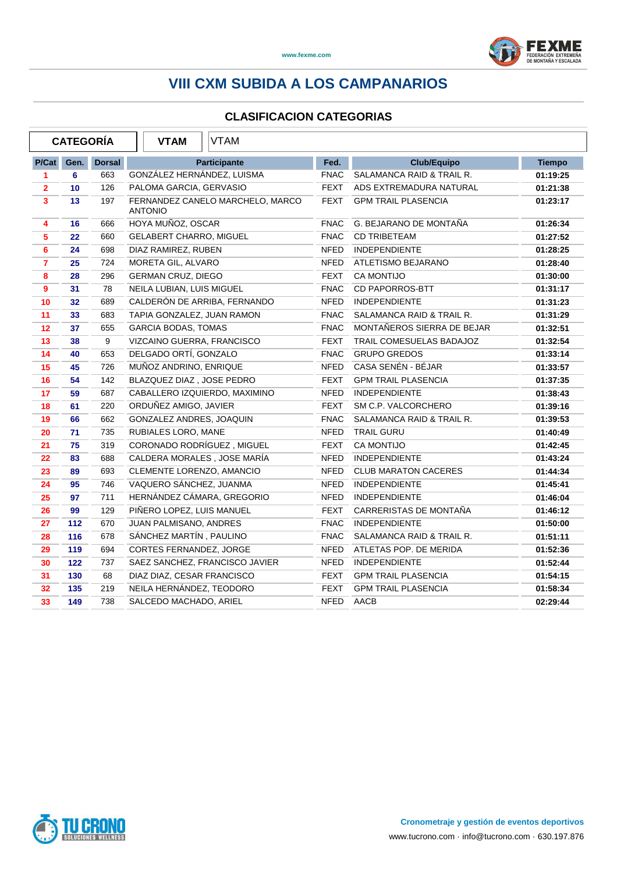

|                | <b>CATEGORÍA</b> |               | <b>VTAM</b>                    | <b>VTAM</b>                      |             |                             |               |
|----------------|------------------|---------------|--------------------------------|----------------------------------|-------------|-----------------------------|---------------|
| P/Cat          | Gen.             | <b>Dorsal</b> |                                | <b>Participante</b>              | Fed.        | <b>Club/Equipo</b>          | <b>Tiempo</b> |
| 1              | 6                | 663           | GONZÁLEZ HERNÁNDEZ, LUISMA     |                                  | <b>FNAC</b> | SALAMANCA RAID & TRAIL R.   | 01:19:25      |
| $\overline{2}$ | 10               | 126           | PALOMA GARCIA, GERVASIO        |                                  | <b>FEXT</b> | ADS EXTREMADURA NATURAL     | 01:21:38      |
| 3              | 13               | 197           | <b>ANTONIO</b>                 | FERNANDEZ CANELO MARCHELO, MARCO | <b>FEXT</b> | <b>GPM TRAIL PLASENCIA</b>  | 01:23:17      |
| 4              | 16               | 666           | HOYA MUÑOZ, OSCAR              |                                  | <b>FNAC</b> | G. BEJARANO DE MONTAÑA      | 01:26:34      |
| $\sqrt{5}$     | 22               | 660           | <b>GELABERT CHARRO, MIGUEL</b> |                                  | FNAC        | <b>CD TRIBETEAM</b>         | 01:27:52      |
| 6              | 24               | 698           | DIAZ RAMIREZ, RUBEN            |                                  | <b>NFED</b> | <b>INDEPENDIENTE</b>        | 01:28:25      |
| $\overline{7}$ | 25               | 724           | MORETA GIL, ALVARO             |                                  | <b>NFED</b> | ATLETISMO BEJARANO          | 01:28:40      |
| 8              | 28               | 296           | <b>GERMAN CRUZ, DIEGO</b>      |                                  | <b>FEXT</b> | <b>CA MONTIJO</b>           | 01:30:00      |
| $\overline{9}$ | 31               | 78            | NEILA LUBIAN, LUIS MIGUEL      |                                  | <b>FNAC</b> | CD PAPORROS-BTT             | 01:31:17      |
| 10             | 32               | 689           |                                | CALDERÓN DE ARRIBA, FERNANDO     | <b>NFED</b> | <b>INDEPENDIENTE</b>        | 01:31:23      |
| 11             | 33               | 683           | TAPIA GONZALEZ, JUAN RAMON     |                                  | <b>FNAC</b> | SALAMANCA RAID & TRAIL R.   | 01:31:29      |
| 12             | 37               | 655           | <b>GARCIA BODAS, TOMAS</b>     |                                  | <b>FNAC</b> | MONTAÑEROS SIERRA DE BEJAR  | 01:32:51      |
| 13             | 38               | 9             | VIZCAINO GUERRA, FRANCISCO     |                                  | <b>FEXT</b> | TRAIL COMESUELAS BADAJOZ    | 01:32:54      |
| 14             | 40               | 653           | DELGADO ORTÍ, GONZALO          |                                  | <b>FNAC</b> | <b>GRUPO GREDOS</b>         | 01:33:14      |
| 15             | 45               | 726           | MUÑOZ ANDRINO, ENRIQUE         |                                  | <b>NFED</b> | CASA SENÉN - BÉJAR          | 01:33:57      |
| 16             | 54               | 142           | BLAZQUEZ DIAZ, JOSE PEDRO      |                                  | FEXT        | <b>GPM TRAIL PLASENCIA</b>  | 01:37:35      |
| 17             | 59               | 687           |                                | CABALLERO IZQUIERDO, MAXIMINO    | <b>NFED</b> | <b>INDEPENDIENTE</b>        | 01:38:43      |
| 18             | 61               | 220           | ORDUÑEZ AMIGO, JAVIER          |                                  | <b>FEXT</b> | SM C.P. VALCORCHERO         | 01:39:16      |
| 19             | 66               | 662           | GONZALEZ ANDRES, JOAQUIN       |                                  | <b>FNAC</b> | SALAMANCA RAID & TRAIL R.   | 01:39:53      |
| 20             | 71               | 735           | RUBIALES LORO, MANE            |                                  | <b>NFED</b> | <b>TRAIL GURU</b>           | 01:40:49      |
| 21             | 75               | 319           |                                | CORONADO RODRÍGUEZ, MIGUEL       | FEXT        | <b>CA MONTIJO</b>           | 01:42:45      |
| 22             | 83               | 688           |                                | CALDERA MORALES, JOSE MARÍA      | NFED        | <b>INDEPENDIENTE</b>        | 01:43:24      |
| 23             | 89               | 693           | CLEMENTE LORENZO, AMANCIO      |                                  | NFED        | <b>CLUB MARATON CACERES</b> | 01:44:34      |
| 24             | 95               | 746           | VAQUERO SÁNCHEZ, JUANMA        |                                  | NFED        | <b>INDEPENDIENTE</b>        | 01:45:41      |
| 25             | 97               | 711           |                                | HERNÁNDEZ CÁMARA, GREGORIO       | NFED        | <b>INDEPENDIENTE</b>        | 01:46:04      |
| 26             | 99               | 129           | PIÑERO LOPEZ, LUIS MANUEL      |                                  | <b>FEXT</b> | CARRERISTAS DE MONTAÑA      | 01:46:12      |
| 27             | 112              | 670           | JUAN PALMISANO, ANDRES         |                                  | <b>FNAC</b> | <b>INDEPENDIENTE</b>        | 01:50:00      |
| 28             | 116              | 678           | SÁNCHEZ MARTÍN, PAULINO        |                                  | <b>FNAC</b> | SALAMANCA RAID & TRAIL R.   | 01:51:11      |
| 29             | 119              | 694           | CORTES FERNANDEZ, JORGE        |                                  | <b>NFED</b> | ATLETAS POP. DE MERIDA      | 01:52:36      |
| 30             | 122              | 737           |                                | SAEZ SANCHEZ, FRANCISCO JAVIER   | <b>NFED</b> | <b>INDEPENDIENTE</b>        | 01:52:44      |
| 31             | 130              | 68            | DIAZ DIAZ, CESAR FRANCISCO     |                                  | <b>FEXT</b> | <b>GPM TRAIL PLASENCIA</b>  | 01:54:15      |
| 32             | 135              | 219           | NEILA HERNÁNDEZ, TEODORO       |                                  | <b>FEXT</b> | <b>GPM TRAIL PLASENCIA</b>  | 01:58:34      |
| 33             | 149              | 738           | SALCEDO MACHADO, ARIEL         |                                  |             | NFED AACB                   | 02:29:44      |
|                |                  |               |                                |                                  |             |                             |               |

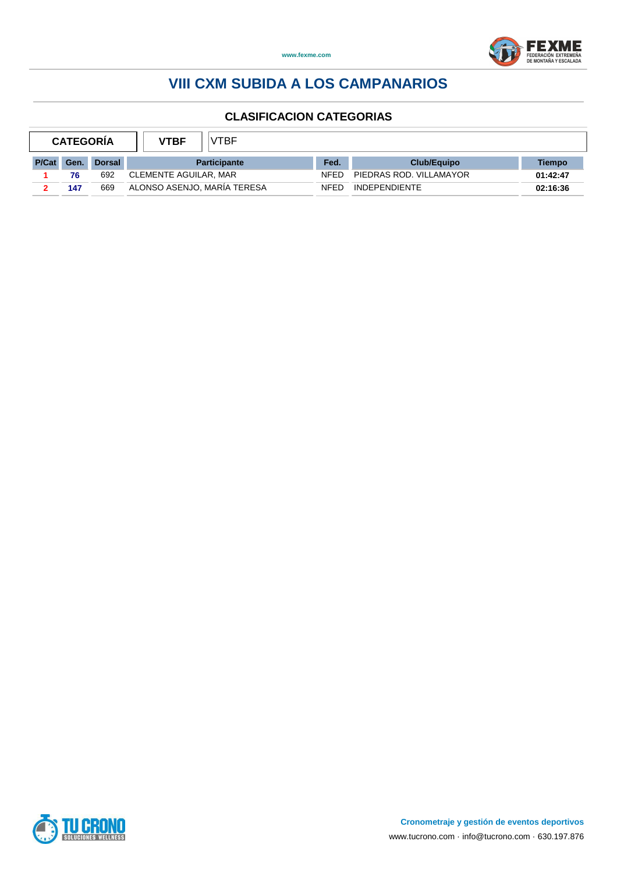



| <b>CATEGORIA</b> |      |               | <b>VTBF</b>                 | VTBF.                 |             |                         |          |
|------------------|------|---------------|-----------------------------|-----------------------|-------------|-------------------------|----------|
| P/Cat            | Gen. | <b>Dorsal</b> |                             | <b>Participante</b>   | Fed.        | Club/Equipo             | Tiempo   |
|                  | 76   | 692           |                             | CLEMENTE AGUILAR, MAR |             | PIEDRAS ROD, VILLAMAYOR | 01:42:47 |
|                  | 147  | 669           | ALONSO ASENJO, MARÍA TERESA |                       | <b>NFFD</b> | <b>INDEPENDIENTE</b>    | 02:16:36 |

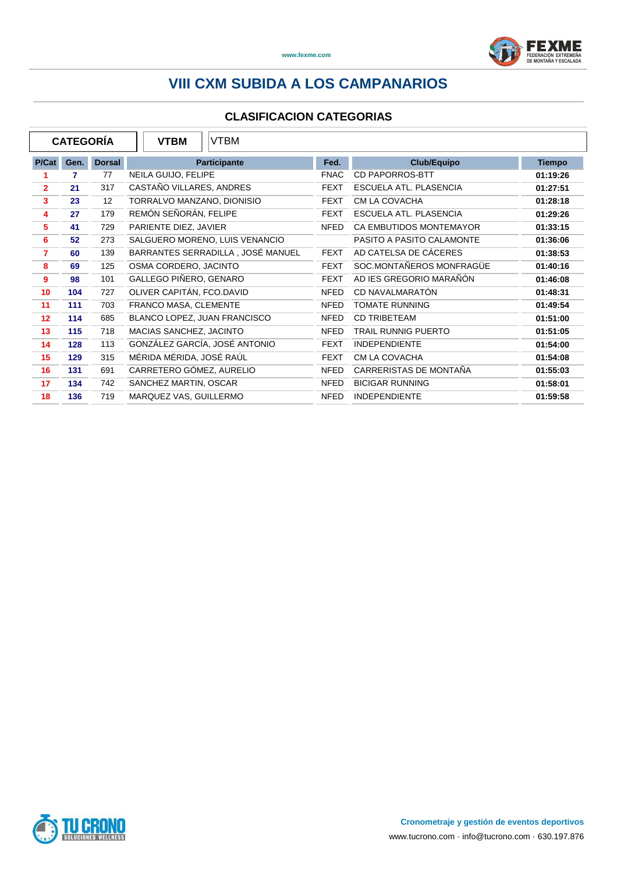

| <b>CATEGORIA</b> |      |               | <b>VTBM</b><br><b>VTBM</b>        |             |                            |               |
|------------------|------|---------------|-----------------------------------|-------------|----------------------------|---------------|
| P/Cat            | Gen. | <b>Dorsal</b> | <b>Participante</b>               | Fed.        | <b>Club/Equipo</b>         | <b>Tiempo</b> |
| 1                | 7    | 77            | NEILA GUIJO, FELIPE               | <b>FNAC</b> | <b>CD PAPORROS-BTT</b>     | 01:19:26      |
| $\overline{2}$   | 21   | 317           | CASTAÑO VILLARES, ANDRES          | <b>FEXT</b> | ESCUELA ATL. PLASENCIA     | 01:27:51      |
| 3                | 23   | 12            | TORRALVO MANZANO, DIONISIO        | <b>FEXT</b> | CM LA COVACHA              | 01:28:18      |
| 4                | 27   | 179           | REMÓN SEÑORÁN, FELIPE             | <b>FEXT</b> | ESCUELA ATL. PLASENCIA     | 01:29:26      |
| 5                | 41   | 729           | PARIENTE DIEZ, JAVIER             | <b>NFED</b> | CA EMBUTIDOS MONTEMAYOR    | 01:33:15      |
| 6                | 52   | 273           | SALGUERO MORENO, LUIS VENANCIO    |             | PASITO A PASITO CALAMONTE  | 01:36:06      |
| $\overline{7}$   | 60   | 139           | BARRANTES SERRADILLA, JOSÉ MANUEL | <b>FEXT</b> | AD CATELSA DE CÁCERES      | 01:38:53      |
| 8                | 69   | 125           | OSMA CORDERO, JACINTO             | <b>FEXT</b> | SOC.MONTAÑEROS MONFRAGÜE   | 01:40:16      |
| 9                | 98   | 101           | GALLEGO PIÑERO, GENARO            | <b>FEXT</b> | AD IES GREGORIO MARAÑÓN    | 01:46:08      |
| 10               | 104  | 727           | OLIVER CAPITÁN, FCO.DAVID         | <b>NFED</b> | CD NAVALMARATÓN            | 01:48:31      |
| 11               | 111  | 703           | FRANCO MASA, CLEMENTE             | <b>NFED</b> | <b>TOMATE RUNNING</b>      | 01:49:54      |
| 12               | 114  | 685           | BLANCO LOPEZ, JUAN FRANCISCO      | <b>NFED</b> | <b>CD TRIBETEAM</b>        | 01:51:00      |
| 13               | 115  | 718           | MACIAS SANCHEZ, JACINTO           | <b>NFED</b> | <b>TRAIL RUNNIG PUERTO</b> | 01:51:05      |
| 14               | 128  | 113           | GONZÁLEZ GARCÍA, JOSÉ ANTONIO     | <b>FEXT</b> | <b>INDEPENDIENTE</b>       | 01:54:00      |
| 15               | 129  | 315           | MÉRIDA MÉRIDA, JOSÉ RAÚL          | <b>FEXT</b> | CM LA COVACHA              | 01:54:08      |
| 16               | 131  | 691           | CARRETERO GÓMEZ, AURELIO          | <b>NFED</b> | CARRERISTAS DE MONTAÑA     | 01:55:03      |
| 17               | 134  | 742           | SANCHEZ MARTIN, OSCAR             | <b>NFED</b> | <b>BICIGAR RUNNING</b>     | 01:58:01      |
| 18               | 136  | 719           | MARQUEZ VAS, GUILLERMO            | <b>NFED</b> | <b>INDEPENDIENTE</b>       | 01:59:58      |

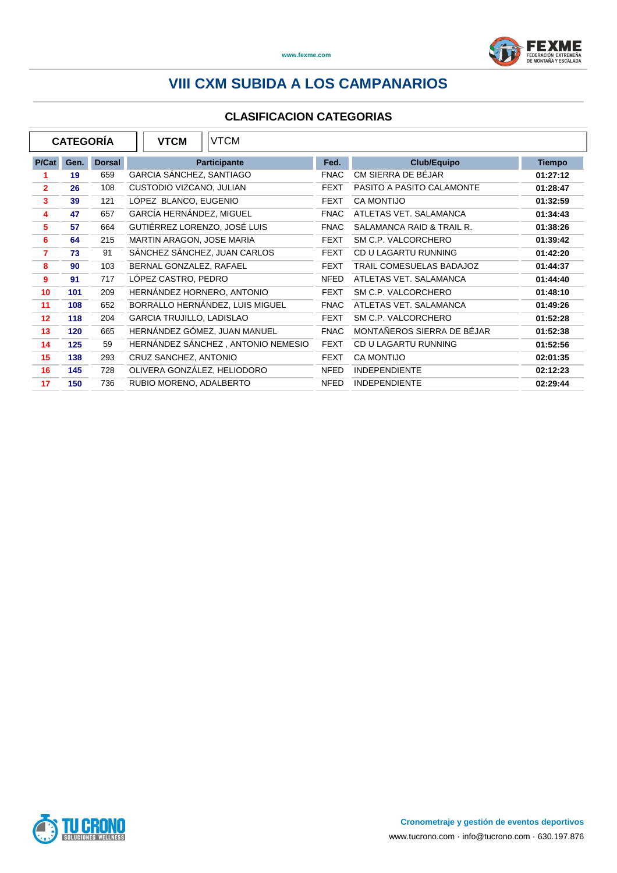

| <b>CATEGORIA</b> |      |               | <b>VTCM</b><br><b>VTCM</b>         |             |                            |               |
|------------------|------|---------------|------------------------------------|-------------|----------------------------|---------------|
| P/Cat            | Gen. | <b>Dorsal</b> | Participante                       | Fed.        | <b>Club/Equipo</b>         | <b>Tiempo</b> |
| 1                | 19   | 659           | GARCIA SÁNCHEZ, SANTIAGO           | <b>FNAC</b> | CM SIERRA DE BÉJAR         | 01:27:12      |
| $\overline{2}$   | 26   | 108           | CUSTODIO VIZCANO, JULIAN           | <b>FEXT</b> | PASITO A PASITO CALAMONTE  | 01:28:47      |
| 3                | 39   | 121           | LÓPEZ BLANCO, EUGENIO              | <b>FEXT</b> | <b>CA MONTIJO</b>          | 01:32:59      |
| 4                | 47   | 657           | GARCÍA HERNÁNDEZ, MIGUEL           | <b>FNAC</b> | ATLETAS VET. SALAMANCA     | 01:34:43      |
| 5                | 57   | 664           | GUTIÉRREZ LORENZO, JOSÉ LUIS       | <b>FNAC</b> | SALAMANCA RAID & TRAIL R.  | 01:38:26      |
| 6                | 64   | 215           | MARTIN ARAGON, JOSE MARIA          | <b>FEXT</b> | SM C.P. VALCORCHERO        | 01:39:42      |
| 7                | 73   | 91            | SÁNCHEZ SÁNCHEZ, JUAN CARLOS       | <b>FEXT</b> | CD U LAGARTU RUNNING       | 01:42:20      |
| 8                | 90   | 103           | BERNAL GONZALEZ, RAFAEL            | <b>FEXT</b> | TRAIL COMESUELAS BADAJOZ   | 01:44:37      |
| 9                | 91   | 717           | LÓPEZ CASTRO, PEDRO                | <b>NFED</b> | ATLETAS VET. SALAMANCA     | 01:44:40      |
| 10               | 101  | 209           | HERNANDEZ HORNERO, ANTONIO         | <b>FEXT</b> | SM C.P. VALCORCHERO        | 01:48:10      |
| 11               | 108  | 652           | BORRALLO HERNÁNDEZ, LUIS MIGUEL    | <b>FNAC</b> | ATLETAS VET. SALAMANCA     | 01:49:26      |
| $12 \,$          | 118  | 204           | <b>GARCIA TRUJILLO, LADISLAO</b>   | <b>FEXT</b> | SM C.P. VALCORCHERO        | 01:52:28      |
| 13               | 120  | 665           | HERNÁNDEZ GÓMEZ, JUAN MANUEL       | <b>FNAC</b> | MONTAÑEROS SIERRA DE BÉJAR | 01:52:38      |
| 14               | 125  | 59            | HERNÁNDEZ SÁNCHEZ, ANTONIO NEMESIO | <b>FEXT</b> | CD U LAGARTU RUNNING       | 01:52:56      |
| 15               | 138  | 293           | CRUZ SANCHEZ, ANTONIO              | <b>FEXT</b> | <b>CA MONTIJO</b>          | 02:01:35      |
| 16               | 145  | 728           | OLIVERA GONZÁLEZ, HELIODORO        | <b>NFED</b> | <b>INDEPENDIENTE</b>       | 02:12:23      |
| 17               | 150  | 736           | RUBIO MORENO, ADALBERTO            | <b>NFED</b> | <b>INDEPENDIENTE</b>       | 02:29:44      |

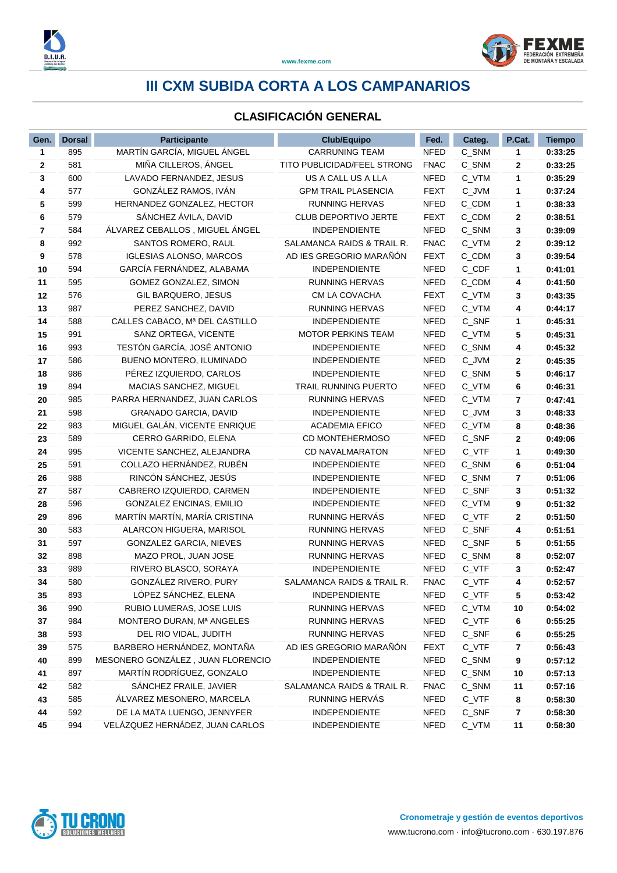

### **CLASIFICACIÓN GENERAL**

| Gen. | <b>Dorsal</b> | <b>Participante</b>               | <b>Club/Equipo</b>                 | Fed.        | Categ.  | P.Cat. | <b>Tiempo</b> |
|------|---------------|-----------------------------------|------------------------------------|-------------|---------|--------|---------------|
| 1    | 895           | MARTÍN GARCÍA, MIGUEL ÁNGEL       | <b>CARRUNING TEAM</b>              | <b>NFED</b> | C_SNM   | 1      | 0:33:25       |
| 2    | 581           | MIÑA CILLEROS, ÁNGEL              | <b>TITO PUBLICIDAD/FEEL STRONG</b> | <b>FNAC</b> | C_SNM   | 2      | 0:33:25       |
| 3    | 600           | LAVADO FERNANDEZ, JESUS           | US A CALL US A LLA                 | <b>NFED</b> | C_VTM   | 1      | 0:35:29       |
| 4    | 577           | GONZÁLEZ RAMOS, IVÁN              | <b>GPM TRAIL PLASENCIA</b>         | <b>FEXT</b> | C_JVM   | 1      | 0:37:24       |
| 5    | 599           | HERNANDEZ GONZALEZ, HECTOR        | <b>RUNNING HERVAS</b>              | <b>NFED</b> | C_CDM   | 1      | 0:38:33       |
| 6    | 579           | SÁNCHEZ ÁVILA, DAVID              | <b>CLUB DEPORTIVO JERTE</b>        | <b>FEXT</b> | C_CDM   | 2      | 0:38:51       |
| 7    | 584           | ÁLVAREZ CEBALLOS, MIGUEL ÁNGEL    | <b>INDEPENDIENTE</b>               | <b>NFED</b> | C_SNM   | 3      | 0:39:09       |
| 8    | 992           | SANTOS ROMERO, RAUL               | SALAMANCA RAIDS & TRAIL R.         | <b>FNAC</b> | C_VTM   | 2      | 0:39:12       |
| 9    | 578           | <b>IGLESIAS ALONSO, MARCOS</b>    | AD IES GREGORIO MARAÑÓN            | <b>FEXT</b> | C_CDM   | 3      | 0:39:54       |
| 10   | 594           | GARCÍA FERNÁNDEZ, ALABAMA         | <b>INDEPENDIENTE</b>               | <b>NFED</b> | C_CDF   | 1      | 0:41:01       |
| 11   | 595           | GOMEZ GONZALEZ, SIMON             | <b>RUNNING HERVAS</b>              | <b>NFED</b> | C_CDM   | 4      | 0:41:50       |
| 12   | 576           | GIL BARQUERO, JESUS               | CM LA COVACHA                      | <b>FEXT</b> | C_VTM   | 3      | 0:43:35       |
| 13   | 987           | PEREZ SANCHEZ, DAVID              | <b>RUNNING HERVAS</b>              | <b>NFED</b> | C_VTM   | 4      | 0:44:17       |
| 14   | 588           | CALLES CABACO, Mª DEL CASTILLO    | <b>INDEPENDIENTE</b>               | <b>NFED</b> | C_SNF   | 1      | 0:45:31       |
| 15   | 991           | SANZ ORTEGA, VICENTE              | <b>MOTOR PERKINS TEAM</b>          | <b>NFED</b> | C_VTM   | 5      | 0:45:31       |
| 16   | 993           | TESTÓN GARCÍA, JOSÉ ANTONIO       | <b>INDEPENDIENTE</b>               | <b>NFED</b> | C_SNM   | 4      | 0:45:32       |
| 17   | 586           | BUENO MONTERO, ILUMINADO          | <b>INDEPENDIENTE</b>               | <b>NFED</b> | C_JVM   | 2      | 0:45:35       |
| 18   | 986           | PÉREZ IZQUIERDO, CARLOS           | <b>INDEPENDIENTE</b>               | <b>NFED</b> | C_SNM   | 5      | 0:46:17       |
| 19   | 894           | MACIAS SANCHEZ, MIGUEL            | <b>TRAIL RUNNING PUERTO</b>        | <b>NFED</b> | $C_VTM$ | 6      | 0:46:31       |
| 20   | 985           | PARRA HERNANDEZ, JUAN CARLOS      | <b>RUNNING HERVAS</b>              | <b>NFED</b> | C_VTM   | 7      | 0:47:41       |
| 21   | 598           | <b>GRANADO GARCIA, DAVID</b>      | <b>INDEPENDIENTE</b>               | <b>NFED</b> | C_JVM   | 3      | 0:48:33       |
| 22   | 983           | MIGUEL GALÁN, VICENTE ENRIQUE     | <b>ACADEMIA EFICO</b>              | NFED        | C_VTM   | 8      | 0:48:36       |
| 23   | 589           | CERRO GARRIDO, ELENA              | CD MONTEHERMOSO                    | <b>NFED</b> | C_SNF   | 2      | 0:49:06       |
| 24   | 995           | VICENTE SANCHEZ, ALEJANDRA        | <b>CD NAVALMARATON</b>             | <b>NFED</b> | C_VTF   | 1      | 0:49:30       |
| 25   | 591           | COLLAZO HERNÁNDEZ, RUBÉN          | <b>INDEPENDIENTE</b>               | <b>NFED</b> | C_SNM   | 6      | 0:51:04       |
| 26   | 988           | RINCÓN SÁNCHEZ, JESÚS             | <b>INDEPENDIENTE</b>               | <b>NFED</b> | C_SNM   | 7      | 0:51:06       |
| 27   | 587           | CABRERO IZQUIERDO, CARMEN         | <b>INDEPENDIENTE</b>               | <b>NFED</b> | C_SNF   | 3      | 0:51:32       |
| 28   | 596           | GONZALEZ ENCINAS, EMILIO          | <b>INDEPENDIENTE</b>               | <b>NFED</b> | C_VTM   | 9      | 0:51:32       |
| 29   | 896           | MARTÍN MARTÍN, MARÍA CRISTINA     | RUNNING HERVÁS                     | <b>NFED</b> | C_VTF   | 2      | 0:51:50       |
| 30   | 583           | ALARCON HIGUERA, MARISOL          | <b>RUNNING HERVAS</b>              | <b>NFED</b> | C_SNF   | 4      | 0:51:51       |
| 31   | 597           | <b>GONZALEZ GARCIA, NIEVES</b>    | RUNNING HERVAS                     | <b>NFED</b> | C_SNF   | 5      | 0:51:55       |
| 32   | 898           | MAZO PROL, JUAN JOSE              | RUNNING HERVAS                     | <b>NFED</b> | C_SNM   | 8      | 0:52:07       |
| 33   | 989           | RIVERO BLASCO, SORAYA             | <b>INDEPENDIENTE</b>               | <b>NFED</b> | C_VTF   | 3      | 0:52:47       |
| 34   | 580           | GONZÁLEZ RIVERO, PURY             | SALAMANCA RAIDS & TRAIL R.         | <b>FNAC</b> | C_VTF   | 4      | 0:52:57       |
| 35   | 893           | LÓPEZ SÁNCHEZ, ELENA              | <b>INDEPENDIENTE</b>               | <b>NFED</b> | C_VTF   | 5      | 0:53:42       |
| 36   | 990           | RUBIO LUMERAS, JOSE LUIS          | <b>RUNNING HERVAS</b>              | <b>NFED</b> | C_VTM   | 10     | 0:54:02       |
| 37   | 984           | MONTERO DURAN, Mª ANGELES         | <b>RUNNING HERVAS</b>              | <b>NFED</b> | C_VTF   | 6      | 0:55:25       |
| 38   | 593           | DEL RIO VIDAL, JUDITH             | <b>RUNNING HERVAS</b>              | <b>NFED</b> | C_SNF   | 6      | 0:55:25       |
| 39   | 575           | BARBERO HERNÁNDEZ, MONTAÑA        | AD IES GREGORIO MARAÑÓN            | FEXT        | $C_VTF$ | 7      | 0:56:43       |
| 40   | 899           | MESONERO GONZÁLEZ, JUAN FLORENCIO | <b>INDEPENDIENTE</b>               | <b>NFED</b> | C_SNM   | 9      | 0:57:12       |
| 41   | 897           | MARTÍN RODRÍGUEZ, GONZALO         | <b>INDEPENDIENTE</b>               | <b>NFED</b> | C_SNM   | 10     | 0:57:13       |
| 42   | 582           | SANCHEZ FRAILE, JAVIER            | SALAMANCA RAIDS & TRAIL R.         | <b>FNAC</b> | C_SNM   | 11     | 0:57:16       |
| 43   | 585           | ÁLVAREZ MESONERO, MARCELA         | RUNNING HERVÁS                     | <b>NFED</b> | $C_VTF$ | 8      | 0:58:30       |
| 44   | 592           | DE LA MATA LUENGO, JENNYFER       | <b>INDEPENDIENTE</b>               | <b>NFED</b> | C_SNF   | 7      | 0:58:30       |
| 45   | 994           | VELÁZQUEZ HERNÁDEZ, JUAN CARLOS   | <b>INDEPENDIENTE</b>               | <b>NFED</b> | C_VTM   | 11     | 0:58:30       |

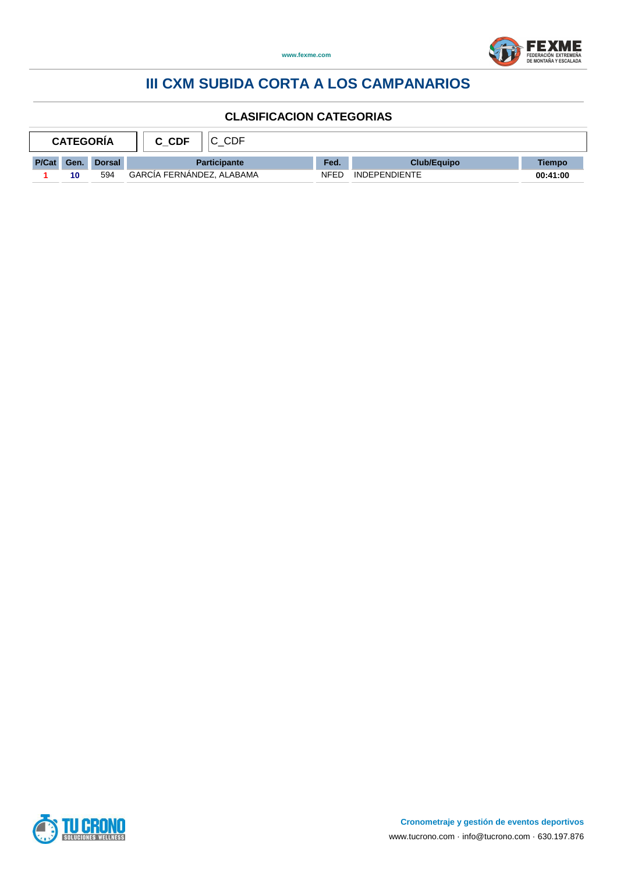



| <b>CATEGORIA</b> |      |        | CDF<br>C CDF              |      |                      |          |
|------------------|------|--------|---------------------------|------|----------------------|----------|
| P/Cat            | Gen. | Dorsal | <b>Participante</b>       |      | Club/Equipo          | Tiempo   |
|                  | 10   | 594    | GARCIA FERNANDEZ, ALABAMA | NFED | <b>INDEPENDIENTE</b> | 00:41:00 |

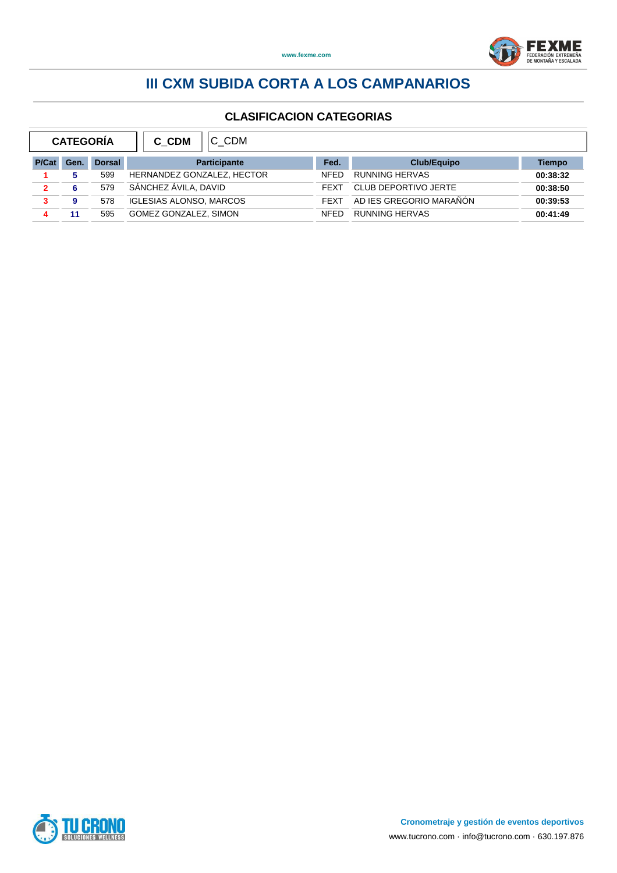



| <b>CATEGORÍA</b> |      |               | C CDM<br>C CDM                 |             |                         |          |  |  |
|------------------|------|---------------|--------------------------------|-------------|-------------------------|----------|--|--|
| P/Cat            | Gen. | <b>Dorsal</b> | <b>Participante</b>            |             | <b>Club/Equipo</b>      | Tiempo   |  |  |
|                  |      | 599           | HERNANDEZ GONZALEZ, HECTOR     | <b>NFED</b> | <b>RUNNING HERVAS</b>   | 00:38:32 |  |  |
| $\mathbf{2}$     | 6    | 579           | SÁNCHEZ ÁVILA, DAVID           | <b>FEXT</b> | CLUB DEPORTIVO JERTE    | 00:38:50 |  |  |
| 3                | 9    | 578           | <b>IGLESIAS ALONSO, MARCOS</b> | <b>FFXT</b> | AD IES GREGORIO MARAÑÓN | 00:39:53 |  |  |
| 4                | 11   | 595           | GOMEZ GONZALEZ, SIMON          | <b>NFFD</b> | <b>RUNNING HERVAS</b>   | 00:41:49 |  |  |

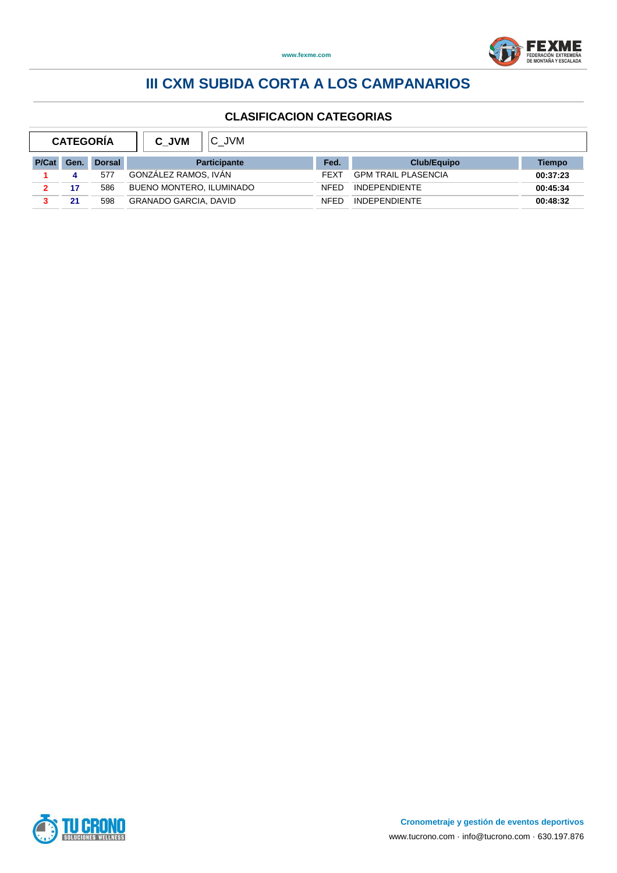



| <b>CATEGORÍA</b> |      |               | C JVM<br>C JVM               |             |                            |          |  |  |  |
|------------------|------|---------------|------------------------------|-------------|----------------------------|----------|--|--|--|
| P/Cat            | Gen. | <b>Dorsal</b> | <b>Participante</b>          | Fed.        | <b>Club/Equipo</b>         | Tiempo   |  |  |  |
|                  |      | 577           | GONZÁLEZ RAMOS. IVÁN         | <b>FFXT</b> | <b>GPM TRAIL PLASENCIA</b> | 00:37:23 |  |  |  |
|                  | 17   | 586           | BUENO MONTERO, ILUMINADO     | <b>NFFD</b> | <b>INDEPENDIENTE</b>       | 00:45:34 |  |  |  |
|                  | 21   | 598           | <b>GRANADO GARCIA, DAVID</b> | <b>NFFD</b> | <b>INDEPENDIENTE</b>       | 00:48:32 |  |  |  |

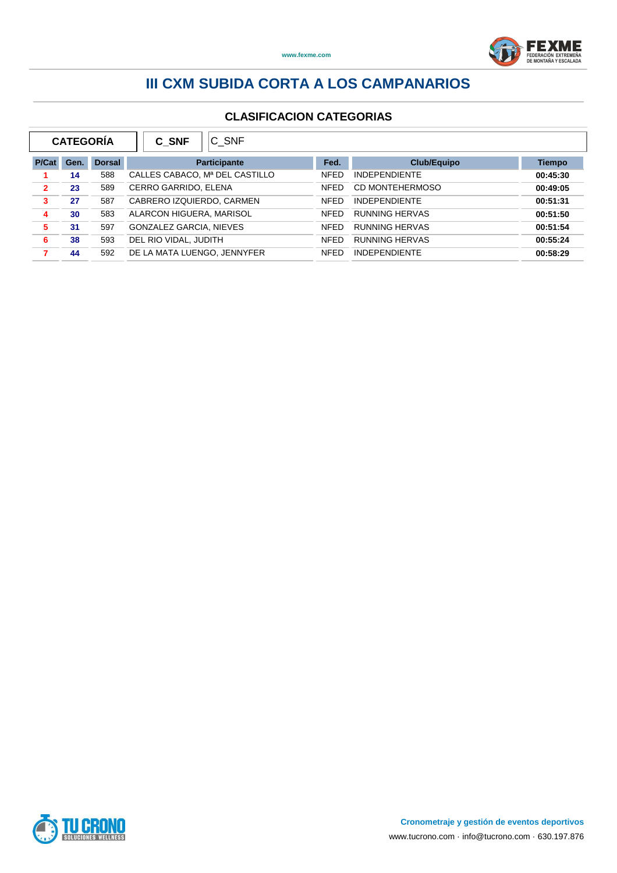

|                | <b>CATEGORÍA</b> |               | C SNF<br>C SNF                 |             |                        |               |  |
|----------------|------------------|---------------|--------------------------------|-------------|------------------------|---------------|--|
| P/Cat          | Gen.             | <b>Dorsal</b> | <b>Participante</b>            | Fed.        | <b>Club/Equipo</b>     | <b>Tiempo</b> |  |
|                | 14               | 588           | CALLES CABACO, Mª DEL CASTILLO | <b>NFED</b> | <b>INDEPENDIENTE</b>   | 00:45:30      |  |
| $\overline{2}$ | 23               | 589           | CERRO GARRIDO, ELENA           | <b>NFED</b> | <b>CD MONTEHERMOSO</b> | 00:49:05      |  |
| 3              | 27               | 587           | CABRERO IZQUIERDO, CARMEN      | <b>NFED</b> | <b>INDEPENDIENTE</b>   | 00:51:31      |  |
| 4              | 30               | 583           | ALARCON HIGUERA, MARISOL       | <b>NFED</b> | <b>RUNNING HERVAS</b>  | 00:51:50      |  |
| 5              | 31               | 597           | <b>GONZALEZ GARCIA, NIEVES</b> | <b>NFED</b> | <b>RUNNING HERVAS</b>  | 00:51:54      |  |
| 6              | 38               | 593           | DEL RIO VIDAL, JUDITH          | <b>NFED</b> | <b>RUNNING HERVAS</b>  | 00:55:24      |  |
| 7              | 44               | 592           | DE LA MATA LUENGO, JENNYFER    | <b>NFFD</b> | <b>INDEPENDIENTE</b>   | 00:58:29      |  |

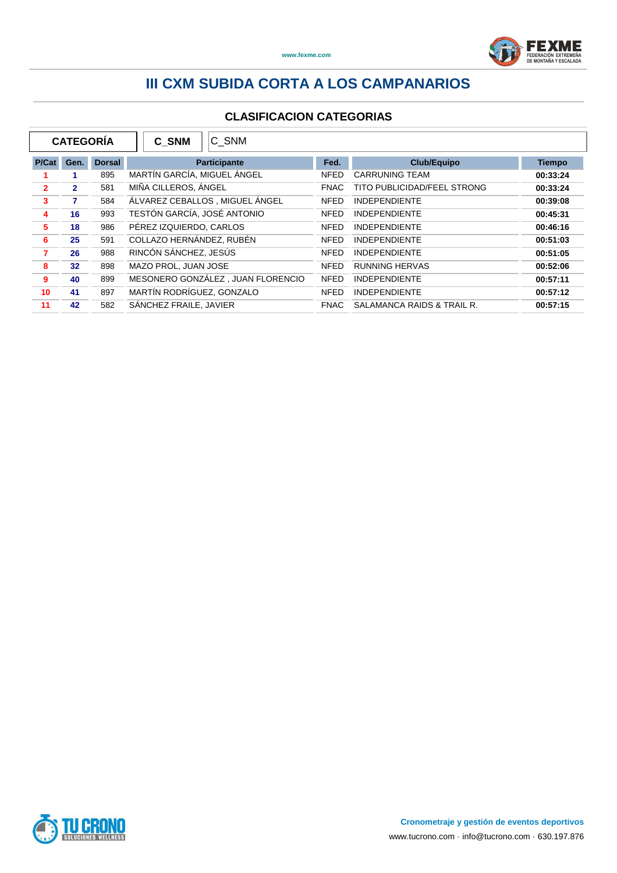

| <b>CATEGORÍA</b><br>C SNM<br>C SNM |              |               |                             |                                   |             |                                    |               |
|------------------------------------|--------------|---------------|-----------------------------|-----------------------------------|-------------|------------------------------------|---------------|
| P/Cat                              | Gen.         | <b>Dorsal</b> |                             | Participante                      | Fed.        | <b>Club/Equipo</b>                 | <b>Tiempo</b> |
|                                    |              | 895           | MARTÍN GARCÍA, MIGUEL ÁNGEL |                                   | <b>NFED</b> | <b>CARRUNING TEAM</b>              | 00:33:24      |
| $\overline{2}$                     | $\mathbf{2}$ | 581           | MIÑA CILLEROS, ÁNGEL        |                                   | <b>FNAC</b> | <b>TITO PUBLICIDAD/FEEL STRONG</b> | 00:33:24      |
| $\overline{\mathbf{3}}$            | 7            | 584           |                             | ÁLVAREZ CEBALLOS, MIGUEL ÁNGEL    | <b>NFED</b> | <b>INDEPENDIENTE</b>               | 00:39:08      |
| 4                                  | 16           | 993           | TESTÓN GARCÍA, JOSÉ ANTONIO |                                   | <b>NFED</b> | <b>INDEPENDIENTE</b>               | 00:45:31      |
| 5                                  | 18           | 986           | PÉREZ IZQUIERDO, CARLOS     |                                   | <b>NFED</b> | <b>INDEPENDIENTE</b>               | 00:46:16      |
| 6                                  | 25           | 591           | COLLAZO HERNÁNDEZ, RUBÉN    |                                   | <b>NFED</b> | <b>INDEPENDIENTE</b>               | 00:51:03      |
| $\overline{7}$                     | 26           | 988           | RINCÓN SÁNCHEZ, JESÚS       |                                   | <b>NFED</b> | <b>INDEPENDIENTE</b>               | 00:51:05      |
| 8                                  | 32           | 898           | MAZO PROL. JUAN JOSE        |                                   | <b>NFED</b> | <b>RUNNING HERVAS</b>              | 00:52:06      |
| 9                                  | 40           | 899           |                             | MESONERO GONZÁLEZ, JUAN FLORENCIO | <b>NFED</b> | <b>INDEPENDIENTE</b>               | 00:57:11      |
| 10                                 | 41           | 897           | MARTÍN RODRÍGUEZ, GONZALO   |                                   | <b>NFED</b> | <b>INDEPENDIENTE</b>               | 00:57:12      |
| 11                                 | 42           | 582           | SÁNCHEZ FRAILE, JAVIER      |                                   | <b>FNAC</b> | SALAMANCA RAIDS & TRAIL R.         | 00:57:15      |

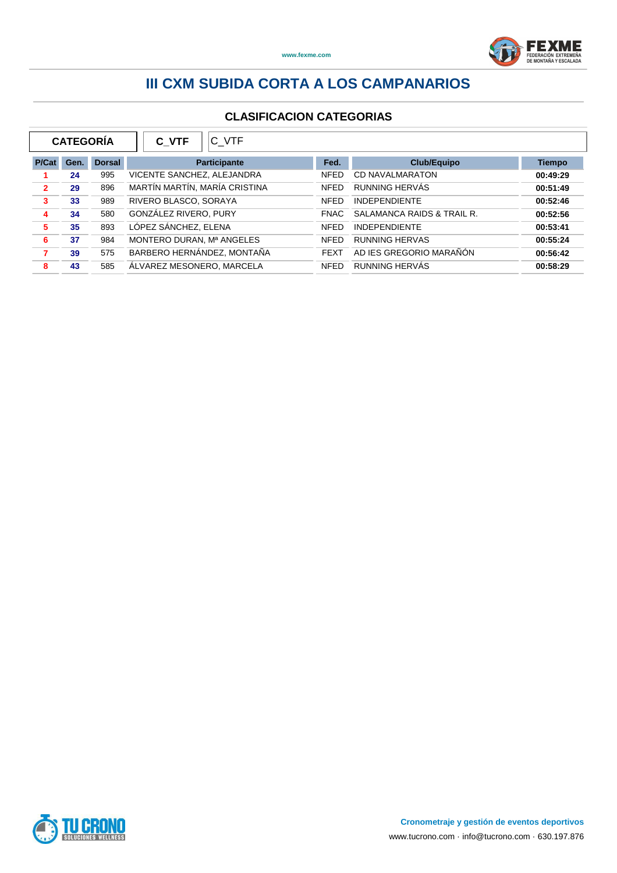

| <b>CATEGORÍA</b><br>C VTF<br>C VTF |      |               |                               |                     |             |                            |               |
|------------------------------------|------|---------------|-------------------------------|---------------------|-------------|----------------------------|---------------|
| P/Cat                              | Gen. | <b>Dorsal</b> |                               | <b>Participante</b> | Fed.        | <b>Club/Equipo</b>         | <b>Tiempo</b> |
|                                    | 24   | 995           | VICENTE SANCHEZ, ALEJANDRA    |                     | <b>NFED</b> | <b>CD NAVALMARATON</b>     | 00:49:29      |
| $\overline{2}$                     | 29   | 896           | MARTÍN MARTÍN, MARÍA CRISTINA |                     | <b>NFED</b> | RUNNING HERVÁS             | 00:51:49      |
| 3                                  | 33   | 989           | RIVERO BLASCO, SORAYA         |                     | <b>NFED</b> | <b>INDEPENDIENTE</b>       | 00:52:46      |
| 4                                  | 34   | 580           | GONZÁLEZ RIVERO, PURY         |                     | <b>FNAC</b> | SALAMANCA RAIDS & TRAIL R. | 00:52:56      |
| 5                                  | 35   | 893           | LÓPEZ SÁNCHEZ, ELENA          |                     | <b>NFED</b> | <b>INDEPENDIENTE</b>       | 00:53:41      |
| 6                                  | 37   | 984           | MONTERO DURAN, Mª ANGELES     |                     | <b>NFED</b> | <b>RUNNING HERVAS</b>      | 00:55:24      |
| 7                                  | 39   | 575           | BARBERO HERNÁNDEZ, MONTAÑA    |                     | <b>FEXT</b> | AD IES GREGORIO MARAÑÓN    | 00:56:42      |
| 8                                  | 43   | 585           | ÁLVAREZ MESONERO, MARCELA     |                     | <b>NFED</b> | RUNNING HERVÁS             | 00:58:29      |